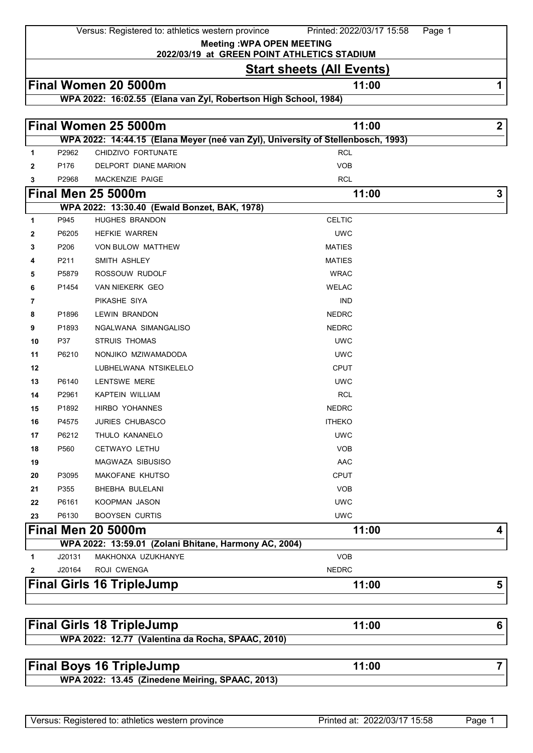Versus: Registered to: athletics western province Printed: 2022/03/17 15:58 Page 1

**Meeting :WPA OPEN MEETING**

**2022/03/19 at GREEN POINT ATHLETICS STADIUM**

## **Start sheets (All Events)**

## **Final Women 20 5000m 11:00 1**

**WPA 2022: 16:02.55 (Elana van Zyl, Robertson High School, 1984)**

|              |        | Final Women 25 5000m                                                             | 11:00         | $\boldsymbol{2}$        |
|--------------|--------|----------------------------------------------------------------------------------|---------------|-------------------------|
|              |        | WPA 2022: 14:44.15 (Elana Meyer (neé van Zyl), University of Stellenbosch, 1993) |               |                         |
| 1            | P2962  | CHIDZIVO FORTUNATE                                                               | <b>RCL</b>    |                         |
| $\mathbf{2}$ | P176   | DELPORT DIANE MARION                                                             | <b>VOB</b>    |                         |
| 3            | P2968  | MACKENZIE PAIGE                                                                  | <b>RCL</b>    |                         |
|              |        | <b>Final Men 25 5000m</b>                                                        | 11:00         | 3                       |
|              |        | WPA 2022: 13:30.40 (Ewald Bonzet, BAK, 1978)                                     |               |                         |
| 1            | P945   | <b>HUGHES BRANDON</b>                                                            | <b>CELTIC</b> |                         |
| $\mathbf{2}$ | P6205  | HEFKIE WARREN                                                                    | <b>UWC</b>    |                         |
| 3            | P206   | VON BULOW MATTHEW                                                                | <b>MATIES</b> |                         |
| 4            | P211   | SMITH ASHLEY                                                                     | <b>MATIES</b> |                         |
| 5            | P5879  | ROSSOUW RUDOLF                                                                   | <b>WRAC</b>   |                         |
| 6            | P1454  | VAN NIEKERK GEO                                                                  | <b>WELAC</b>  |                         |
| 7            |        | PIKASHE SIYA                                                                     | <b>IND</b>    |                         |
| 8            | P1896  | <b>LEWIN BRANDON</b>                                                             | <b>NEDRC</b>  |                         |
| 9            | P1893  | NGALWANA SIMANGALISO                                                             | <b>NEDRC</b>  |                         |
| 10           | P37    | <b>STRUIS THOMAS</b>                                                             | <b>UWC</b>    |                         |
| 11           | P6210  | NONJIKO MZIWAMADODA                                                              | <b>UWC</b>    |                         |
| 12           |        | LUBHELWANA NTSIKELELO                                                            | <b>CPUT</b>   |                         |
| 13           | P6140  | LENTSWE MERE                                                                     | <b>UWC</b>    |                         |
| 14           | P2961  | <b>KAPTEIN WILLIAM</b>                                                           | <b>RCL</b>    |                         |
| 15           | P1892  | HIRBO YOHANNES                                                                   | <b>NEDRC</b>  |                         |
| 16           | P4575  | <b>JURIES CHUBASCO</b>                                                           | <b>ITHEKO</b> |                         |
| 17           | P6212  | THULO KANANELO                                                                   | <b>UWC</b>    |                         |
| 18           | P560   | CETWAYO LETHU                                                                    | <b>VOB</b>    |                         |
| 19           |        | MAGWAZA SIBUSISO                                                                 | AAC           |                         |
| 20           | P3095  | MAKOFANE KHUTSO                                                                  | <b>CPUT</b>   |                         |
| 21           | P355   | BHEBHA BULELANI                                                                  | <b>VOB</b>    |                         |
| 22           | P6161  | KOOPMAN JASON                                                                    | <b>UWC</b>    |                         |
| 23           | P6130  | <b>BOOYSEN CURTIS</b>                                                            | <b>UWC</b>    |                         |
|              |        | <b>Final Men 20 5000m</b>                                                        | 11:00         | 4                       |
|              |        | WPA 2022: 13:59.01 (Zolani Bhitane, Harmony AC, 2004)                            |               |                         |
| 1            | J20131 | MAKHONXA UZUKHANYE                                                               | <b>VOB</b>    |                         |
| $\mathbf{2}$ | J20164 | ROJI CWENGA                                                                      | <b>NEDRC</b>  |                         |
|              |        | <b>Final Girls 16 TripleJump</b>                                                 | 11:00         | 5                       |
|              |        | <b>Final Girls 18 TripleJump</b>                                                 | 11:00         | 6                       |
|              |        | WPA 2022: 12.77 (Valentina da Rocha, SPAAC, 2010)                                |               |                         |
|              |        | <b>Final Boys 16 TripleJump</b>                                                  | 11:00         | $\overline{\mathbf{7}}$ |
|              |        | WPA 2022: 13.45 (Zinedene Meiring, SPAAC, 2013)                                  |               |                         |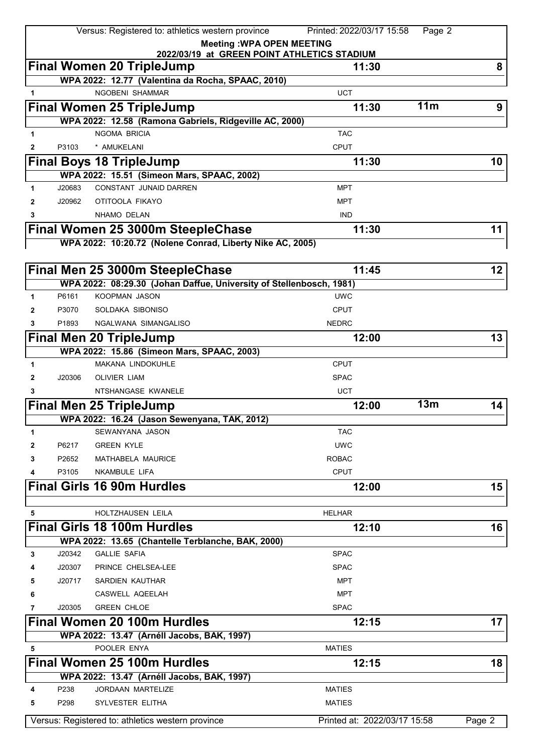|              |        | Versus: Registered to: athletics western province                                           | Printed: 2022/03/17 15:58    | Page 2          |        |
|--------------|--------|---------------------------------------------------------------------------------------------|------------------------------|-----------------|--------|
|              |        | <b>Meeting: WPA OPEN MEETING</b>                                                            |                              |                 |        |
|              |        | 2022/03/19 at GREEN POINT ATHLETICS STADIUM                                                 |                              |                 |        |
|              |        | <b>Final Women 20 TripleJump</b>                                                            | 11:30                        |                 | 8      |
| 1            |        | WPA 2022: 12.77 (Valentina da Rocha, SPAAC, 2010)<br>NGOBENI SHAMMAR                        | <b>UCT</b>                   |                 |        |
|              |        |                                                                                             |                              | 11 <sub>m</sub> |        |
|              |        | <b>Final Women 25 TripleJump</b>                                                            | 11:30                        |                 | 9      |
|              |        | WPA 2022: 12.58 (Ramona Gabriels, Ridgeville AC, 2000)<br><b>NGOMA BRICIA</b>               | <b>TAC</b>                   |                 |        |
| 1            | P3103  |                                                                                             | <b>CPUT</b>                  |                 |        |
| $\mathbf{2}$ |        | * AMUKELANI                                                                                 |                              |                 |        |
|              |        | <b>Final Boys 18 TripleJump</b>                                                             | 11:30                        |                 | 10     |
|              | J20683 | WPA 2022: 15.51 (Simeon Mars, SPAAC, 2002)                                                  |                              |                 |        |
| 1            |        | CONSTANT JUNAID DARREN<br>OTITOOLA FIKAYO                                                   | <b>MPT</b>                   |                 |        |
| 2            | J20962 |                                                                                             | <b>MPT</b>                   |                 |        |
| 3            |        | NHAMO DELAN                                                                                 | <b>IND</b>                   |                 |        |
|              |        | Final Women 25 3000m SteepleChase                                                           | 11:30                        |                 | 11     |
|              |        | WPA 2022: 10:20.72 (Nolene Conrad, Liberty Nike AC, 2005)                                   |                              |                 |        |
|              |        |                                                                                             |                              |                 |        |
|              |        | Final Men 25 3000m SteepleChase                                                             | 11:45                        |                 | 12     |
| $\mathbf{1}$ | P6161  | WPA 2022: 08:29.30 (Johan Daffue, University of Stellenbosch, 1981)<br><b>KOOPMAN JASON</b> | <b>UWC</b>                   |                 |        |
|              |        |                                                                                             |                              |                 |        |
| 2            | P3070  | SOLDAKA SIBONISO                                                                            | <b>CPUT</b>                  |                 |        |
| 3            | P1893  | NGALWANA SIMANGALISO                                                                        | <b>NEDRC</b>                 |                 |        |
|              |        | <b>Final Men 20 TripleJump</b>                                                              | 12:00                        |                 | 13     |
|              |        | WPA 2022: 15.86 (Simeon Mars, SPAAC, 2003)                                                  |                              |                 |        |
| 1            |        | <b>MAKANA LINDOKUHLE</b>                                                                    | <b>CPUT</b>                  |                 |        |
| $\mathbf{2}$ | J20306 | <b>OLIVIER LIAM</b>                                                                         | <b>SPAC</b>                  |                 |        |
| 3            |        | NTSHANGASE KWANELE                                                                          | <b>UCT</b>                   |                 |        |
|              |        | <b>Final Men 25 TripleJump</b>                                                              | 12:00                        | 13m             | 14     |
|              |        | WPA 2022: 16.24 (Jason Sewenyana, TAK, 2012)                                                |                              |                 |        |
| 1            |        | SEWANYANA JASON                                                                             | <b>TAC</b>                   |                 |        |
| 2            | P6217  | <b>GREEN KYLE</b>                                                                           | <b>UWC</b>                   |                 |        |
| 3            | P2652  | MATHABELA MAURICE                                                                           | <b>ROBAC</b>                 |                 |        |
| 4            | P3105  | <b>NKAMBULE LIFA</b>                                                                        | <b>CPUT</b>                  |                 |        |
|              |        | <b>Final Girls 16 90m Hurdles</b>                                                           | 12:00                        |                 | 15     |
|              |        | <b>HOLTZHAUSEN LEILA</b>                                                                    | <b>HELHAR</b>                |                 |        |
| 5            |        |                                                                                             |                              |                 |        |
|              |        | <b>Final Girls 18 100m Hurdles</b><br>WPA 2022: 13.65 (Chantelle Terblanche, BAK, 2000)     | 12:10                        |                 | 16     |
|              | J20342 | <b>GALLIE SAFIA</b>                                                                         | <b>SPAC</b>                  |                 |        |
| 3            | J20307 | PRINCE CHELSEA-LEE                                                                          | <b>SPAC</b>                  |                 |        |
| 4            | J20717 | SARDIEN KAUTHAR                                                                             | <b>MPT</b>                   |                 |        |
| 5            |        | CASWELL AQEELAH                                                                             | <b>MPT</b>                   |                 |        |
| 6            |        | <b>GREEN CHLOE</b>                                                                          | <b>SPAC</b>                  |                 |        |
| 7            | J20305 |                                                                                             |                              |                 |        |
|              |        | <b>Final Women 20 100m Hurdles</b>                                                          | 12:15                        |                 | 17     |
|              |        | WPA 2022: 13.47 (Arnéll Jacobs, BAK, 1997)<br>POOLER ENYA                                   | <b>MATIES</b>                |                 |        |
| 5            |        |                                                                                             |                              |                 |        |
|              |        | <b>Final Women 25 100m Hurdles</b>                                                          | 12:15                        |                 | 18     |
|              |        | WPA 2022: 13.47 (Arnéll Jacobs, BAK, 1997)                                                  |                              |                 |        |
| 4            | P238   | <b>JORDAAN MARTELIZE</b>                                                                    | <b>MATIES</b>                |                 |        |
| 5            | P298   | SYLVESTER ELITHA                                                                            | <b>MATIES</b>                |                 |        |
|              |        | Versus: Registered to: athletics western province                                           | Printed at: 2022/03/17 15:58 |                 | Page 2 |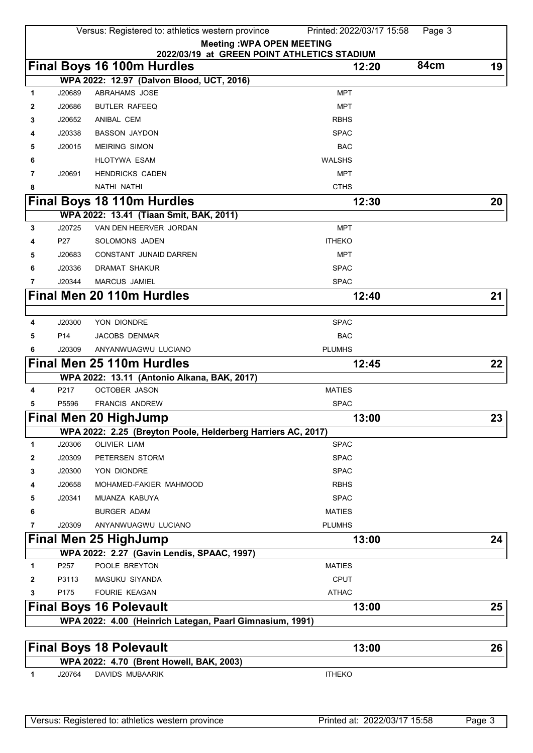|              |        | Versus: Registered to: athletics western province                 | Printed: 2022/03/17 15:58<br>Page 3                 |    |
|--------------|--------|-------------------------------------------------------------------|-----------------------------------------------------|----|
|              |        |                                                                   | <b>Meeting: WPA OPEN MEETING</b>                    |    |
|              |        |                                                                   | 2022/03/19 at GREEN POINT ATHLETICS STADIUM<br>84cm |    |
|              |        | <b>Final Boys 16 100m Hurdles</b>                                 | 12:20                                               | 19 |
| 1            | J20689 | WPA 2022: 12.97 (Dalvon Blood, UCT, 2016)<br><b>ABRAHAMS JOSE</b> | <b>MPT</b>                                          |    |
| 2            | J20686 | <b>BUTLER RAFEEQ</b>                                              | <b>MPT</b>                                          |    |
| 3            | J20652 | ANIBAL CEM                                                        | <b>RBHS</b>                                         |    |
|              | J20338 | <b>BASSON JAYDON</b>                                              | <b>SPAC</b>                                         |    |
| 4            | J20015 | <b>MEIRING SIMON</b>                                              | <b>BAC</b>                                          |    |
| 5            |        | <b>HLOTYWA ESAM</b>                                               | <b>WALSHS</b>                                       |    |
| 6            |        |                                                                   | <b>MPT</b>                                          |    |
| 7            | J20691 | <b>HENDRICKS CADEN</b>                                            | <b>CTHS</b>                                         |    |
| 8            |        | NATHI NATHI                                                       |                                                     |    |
|              |        | <b>Final Boys 18 110m Hurdles</b>                                 | 12:30                                               | 20 |
|              | J20725 | WPA 2022: 13.41 (Tiaan Smit, BAK, 2011)<br>VAN DEN HEERVER JORDAN | MPT                                                 |    |
| 3            |        |                                                                   |                                                     |    |
| 4            | P27    | SOLOMONS JADEN                                                    | <b>ITHEKO</b>                                       |    |
| 5            | J20683 | CONSTANT JUNAID DARREN                                            | <b>MPT</b>                                          |    |
| 6            | J20336 | <b>DRAMAT SHAKUR</b>                                              | <b>SPAC</b>                                         |    |
| 7            | J20344 | <b>MARCUS JAMIEL</b>                                              | <b>SPAC</b>                                         |    |
|              |        | Final Men 20 110m Hurdles                                         | 12:40                                               | 21 |
|              |        |                                                                   |                                                     |    |
| 4            | J20300 | YON DIONDRE                                                       | <b>SPAC</b>                                         |    |
| 5            | P14    | <b>JACOBS DENMAR</b>                                              | <b>BAC</b>                                          |    |
| 6            | J20309 | ANYANWUAGWU LUCIANO                                               | <b>PLUMHS</b>                                       |    |
|              |        | Final Men 25 110m Hurdles                                         | 12:45                                               | 22 |
|              |        | WPA 2022: 13.11 (Antonio Alkana, BAK, 2017)                       |                                                     |    |
| 4            | P217   | <b>OCTOBER JASON</b>                                              | <b>MATIES</b>                                       |    |
| 5            | P5596  | <b>FRANCIS ANDREW</b>                                             | <b>SPAC</b>                                         |    |
|              |        | Final Men 20 HighJump                                             | 13:00                                               | 23 |
|              |        | WPA 2022: 2.25 (Breyton Poole, Helderberg Harriers AC, 2017)      |                                                     |    |
| 1            | J20306 | OLIVIER LIAM                                                      | <b>SPAC</b>                                         |    |
| 2            | J20309 | PETERSEN STORM                                                    | <b>SPAC</b>                                         |    |
| 3            | J20300 | YON DIONDRE                                                       | <b>SPAC</b>                                         |    |
| 4            | J20658 | MOHAMED-FAKIER MAHMOOD                                            | <b>RBHS</b>                                         |    |
| 5            | J20341 | MUANZA KABUYA                                                     | <b>SPAC</b>                                         |    |
| 6            |        | <b>BURGER ADAM</b>                                                | <b>MATIES</b>                                       |    |
| 7            | J20309 | ANYANWUAGWU LUCIANO                                               | <b>PLUMHS</b>                                       |    |
|              |        | <b>Final Men 25 HighJump</b>                                      | 13:00                                               | 24 |
|              |        | WPA 2022: 2.27 (Gavin Lendis, SPAAC, 1997)                        |                                                     |    |
| 1            | P257   | POOLE BREYTON                                                     | <b>MATIES</b>                                       |    |
| $\mathbf{2}$ | P3113  | MASUKU SIYANDA                                                    | <b>CPUT</b>                                         |    |
| 3            | P175   | FOURIE KEAGAN                                                     | <b>ATHAC</b>                                        |    |
|              |        | <b>Final Boys 16 Polevault</b>                                    | 13:00                                               | 25 |
|              |        | WPA 2022: 4.00 (Heinrich Lategan, Paarl Gimnasium, 1991)          |                                                     |    |
|              |        |                                                                   |                                                     |    |
|              |        | <b>Final Boys 18 Polevault</b>                                    | 13:00                                               | 26 |
|              |        | WPA 2022: 4.70 (Brent Howell, BAK, 2003)                          |                                                     |    |
| 1            | J20764 | <b>DAVIDS MUBAARIK</b>                                            | <b>ITHEKO</b>                                       |    |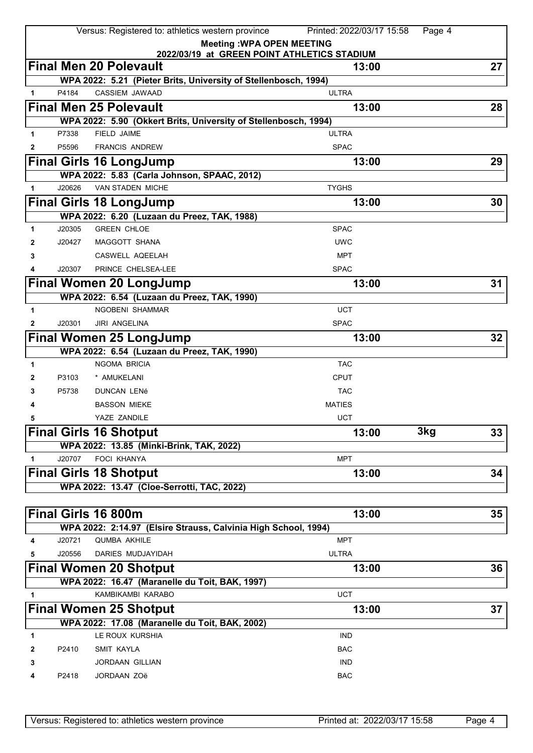|                                  |        | Versus: Registered to: athletics western province                            | Printed: 2022/03/17 15:58<br>Page 4 |    |  |  |
|----------------------------------|--------|------------------------------------------------------------------------------|-------------------------------------|----|--|--|
| <b>Meeting: WPA OPEN MEETING</b> |        |                                                                              |                                     |    |  |  |
|                                  |        | 2022/03/19 at GREEN POINT ATHLETICS STADIUM<br><b>Final Men 20 Polevault</b> |                                     | 27 |  |  |
|                                  |        | WPA 2022: 5.21 (Pieter Brits, University of Stellenbosch, 1994)              | 13:00                               |    |  |  |
| $\mathbf{1}$                     | P4184  | CASSIEM JAWAAD                                                               | <b>ULTRA</b>                        |    |  |  |
|                                  |        | <b>Final Men 25 Polevault</b>                                                | 13:00                               | 28 |  |  |
|                                  |        | WPA 2022: 5.90 (Okkert Brits, University of Stellenbosch, 1994)              |                                     |    |  |  |
| 1                                | P7338  | FIELD JAIME                                                                  | <b>ULTRA</b>                        |    |  |  |
| $\mathbf 2$                      | P5596  | FRANCIS ANDREW                                                               | <b>SPAC</b>                         |    |  |  |
|                                  |        | <b>Final Girls 16 LongJump</b>                                               | 13:00                               | 29 |  |  |
|                                  |        | WPA 2022: 5.83 (Carla Johnson, SPAAC, 2012)                                  |                                     |    |  |  |
| $\mathbf{1}$                     | J20626 | <b>VAN STADEN MICHE</b>                                                      | <b>TYGHS</b>                        |    |  |  |
|                                  |        | <b>Final Girls 18 LongJump</b>                                               | 13:00                               | 30 |  |  |
|                                  |        | WPA 2022: 6.20 (Luzaan du Preez, TAK, 1988)                                  |                                     |    |  |  |
| 1                                | J20305 | <b>GREEN CHLOE</b>                                                           | <b>SPAC</b>                         |    |  |  |
| 2                                | J20427 | <b>MAGGOTT SHANA</b>                                                         | <b>UWC</b>                          |    |  |  |
| 3                                |        | CASWELL AQEELAH                                                              | <b>MPT</b>                          |    |  |  |
| 4                                | J20307 | PRINCE CHELSEA-LEE                                                           | <b>SPAC</b>                         |    |  |  |
|                                  |        | <b>Final Women 20 LongJump</b>                                               | 13:00                               | 31 |  |  |
|                                  |        | WPA 2022: 6.54 (Luzaan du Preez, TAK, 1990)                                  |                                     |    |  |  |
| 1                                |        | NGOBENI SHAMMAR                                                              | <b>UCT</b>                          |    |  |  |
| 2                                | J20301 | <b>JIRI ANGELINA</b>                                                         | <b>SPAC</b>                         |    |  |  |
|                                  |        | <b>Final Women 25 LongJump</b>                                               | 13:00                               | 32 |  |  |
|                                  |        | WPA 2022: 6.54 (Luzaan du Preez, TAK, 1990)                                  |                                     |    |  |  |
| 1                                |        | <b>NGOMA BRICIA</b>                                                          | <b>TAC</b>                          |    |  |  |
| $\mathbf{2}$                     | P3103  | * AMUKELANI                                                                  | <b>CPUT</b>                         |    |  |  |
| 3                                | P5738  | DUNCAN LENé                                                                  | <b>TAC</b>                          |    |  |  |
| 4                                |        | <b>BASSON MIEKE</b>                                                          | <b>MATIES</b>                       |    |  |  |
| 5                                |        | YAZE ZANDILE                                                                 | <b>UCT</b>                          |    |  |  |
|                                  |        | <b>Final Girls 16 Shotput</b>                                                | 3kg<br>13:00                        | 33 |  |  |
|                                  |        | WPA 2022: 13.85 (Minki-Brink, TAK, 2022)                                     |                                     |    |  |  |
| 1                                | J20707 | FOCI KHANYA                                                                  | <b>MPT</b>                          |    |  |  |
|                                  |        | <b>Final Girls 18 Shotput</b>                                                | 13:00                               | 34 |  |  |
|                                  |        | WPA 2022: 13.47 (Cloe-Serrotti, TAC, 2022)                                   |                                     |    |  |  |
|                                  |        |                                                                              |                                     |    |  |  |
|                                  |        | Final Girls 16 800m                                                          | 13:00                               | 35 |  |  |
|                                  |        | WPA 2022: 2:14.97 (Elsire Strauss, Calvinia High School, 1994)               |                                     |    |  |  |
| 4                                | J20721 | QUMBA AKHILE                                                                 | <b>MPT</b>                          |    |  |  |
| 5                                | J20556 | DARIES MUDJAYIDAH                                                            | <b>ULTRA</b>                        |    |  |  |
|                                  |        | <b>Final Women 20 Shotput</b>                                                | 13:00                               | 36 |  |  |
|                                  |        | WPA 2022: 16.47 (Maranelle du Toit, BAK, 1997)                               |                                     |    |  |  |
| 1                                |        | KAMBIKAMBI KARABO                                                            | <b>UCT</b>                          |    |  |  |
|                                  |        | <b>Final Women 25 Shotput</b>                                                | 13:00                               | 37 |  |  |
|                                  |        | WPA 2022: 17.08 (Maranelle du Toit, BAK, 2002)                               |                                     |    |  |  |
| 1                                |        | LE ROUX KURSHIA                                                              | <b>IND</b>                          |    |  |  |
| 2                                | P2410  | SMIT KAYLA                                                                   | BAC                                 |    |  |  |
| 3                                |        | <b>JORDAAN GILLIAN</b>                                                       | <b>IND</b>                          |    |  |  |
| 4                                | P2418  | JORDAAN ZOë                                                                  | <b>BAC</b>                          |    |  |  |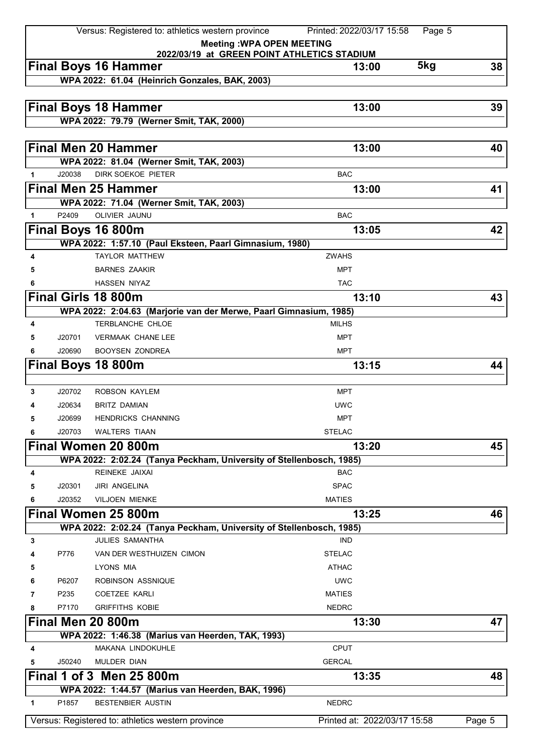|              |        | Versus: Registered to: athletics western province                             | Printed: 2022/03/17 15:58<br>Page 5         |        |
|--------------|--------|-------------------------------------------------------------------------------|---------------------------------------------|--------|
|              |        |                                                                               | <b>Meeting: WPA OPEN MEETING</b>            |        |
|              |        |                                                                               | 2022/03/19 at GREEN POINT ATHLETICS STADIUM |        |
|              |        | <b>Final Boys 16 Hammer</b>                                                   | 5kg<br>13:00                                | 38     |
|              |        | WPA 2022: 61.04 (Heinrich Gonzales, BAK, 2003)                                |                                             |        |
|              |        |                                                                               |                                             |        |
|              |        | <b>Final Boys 18 Hammer</b>                                                   | 13:00                                       | 39     |
|              |        | WPA 2022: 79.79 (Werner Smit, TAK, 2000)                                      |                                             |        |
|              |        | <b>Final Men 20 Hammer</b>                                                    | 13:00                                       | 40     |
|              |        | WPA 2022: 81.04 (Werner Smit, TAK, 2003)                                      |                                             |        |
| $\mathbf 1$  | J20038 | DIRK SOEKOE PIETER                                                            | <b>BAC</b>                                  |        |
|              |        | <b>Final Men 25 Hammer</b>                                                    | 13:00                                       | 41     |
|              |        | WPA 2022: 71.04 (Werner Smit, TAK, 2003)                                      |                                             |        |
| $\mathbf 1$  | P2409  | OLIVIER JAUNU                                                                 | <b>BAC</b>                                  |        |
|              |        | Final Boys 16 800m                                                            | 13:05                                       | 42     |
|              |        | WPA 2022: 1:57.10 (Paul Eksteen, Paarl Gimnasium, 1980)                       |                                             |        |
| 4            |        | <b>TAYLOR MATTHEW</b>                                                         | <b>ZWAHS</b>                                |        |
| 5            |        | <b>BARNES ZAAKIR</b>                                                          | <b>MPT</b>                                  |        |
| 6            |        | <b>HASSEN NIYAZ</b>                                                           | <b>TAC</b>                                  |        |
|              |        | <b>Final Girls 18 800m</b>                                                    | 13:10                                       | 43     |
|              |        | WPA 2022: 2:04.63 (Marjorie van der Merwe, Paarl Gimnasium, 1985)             |                                             |        |
| 4            |        | TERBLANCHE CHLOE                                                              | <b>MILHS</b>                                |        |
| 5            | J20701 | <b>VERMAAK CHANE LEE</b>                                                      | <b>MPT</b>                                  |        |
| 6            | J20690 | <b>BOOYSEN ZONDREA</b>                                                        | <b>MPT</b>                                  |        |
|              |        | Final Boys 18 800m                                                            | 13:15                                       | 44     |
|              |        |                                                                               |                                             |        |
| 3            | J20702 | ROBSON KAYLEM                                                                 | <b>MPT</b>                                  |        |
| 4            | J20634 | <b>BRITZ DAMIAN</b>                                                           | <b>UWC</b>                                  |        |
| 5            | J20699 | <b>HENDRICKS CHANNING</b>                                                     | <b>MPT</b>                                  |        |
| 6            | J20703 | <b>WALTERS TIAAN</b>                                                          | <b>STELAC</b>                               |        |
|              |        | Final Women 20 800m                                                           | 13:20                                       | 45     |
|              |        | WPA 2022: 2:02.24 (Tanya Peckham, University of Stellenbosch, 1985)           |                                             |        |
| 4            |        | REINEKE JAIXAI                                                                | <b>BAC</b>                                  |        |
| 5            | J20301 | <b>JIRI ANGELINA</b>                                                          | <b>SPAC</b>                                 |        |
| 6            | J20352 | VILJOEN MIENKE                                                                | <b>MATIES</b>                               |        |
|              |        | <b>Final Women 25 800m</b>                                                    | 13:25                                       | 46     |
|              |        | WPA 2022: 2:02.24 (Tanya Peckham, University of Stellenbosch, 1985)           |                                             |        |
| 3            |        | <b>JULIES SAMANTHA</b>                                                        | <b>IND</b>                                  |        |
| 4            | P776   | VAN DER WESTHUIZEN CIMON                                                      | <b>STELAC</b>                               |        |
| 5            |        | LYONS MIA                                                                     | <b>ATHAC</b>                                |        |
| 6            | P6207  | ROBINSON ASSNIQUE                                                             | <b>UWC</b>                                  |        |
| 7            | P235   | <b>COETZEE KARLI</b>                                                          | <b>MATIES</b>                               |        |
| 8            | P7170  | <b>GRIFFITHS KOBIE</b>                                                        | <b>NEDRC</b>                                |        |
|              |        | Final Men 20 800m                                                             | 13:30                                       | 47     |
|              |        | WPA 2022: 1:46.38 (Marius van Heerden, TAK, 1993)                             |                                             |        |
| 4            |        | MAKANA LINDOKUHLE                                                             | <b>CPUT</b>                                 |        |
| 5            | J50240 | MULDER DIAN                                                                   | <b>GERCAL</b>                               |        |
|              |        | Final 1 of 3 Men 25 800m                                                      | 13:35                                       | 48     |
| $\mathbf{1}$ | P1857  | WPA 2022: 1:44.57 (Marius van Heerden, BAK, 1996)<br><b>BESTENBIER AUSTIN</b> | <b>NEDRC</b>                                |        |
|              |        |                                                                               |                                             |        |
|              |        | Versus: Registered to: athletics western province                             | Printed at: 2022/03/17 15:58                | Page 5 |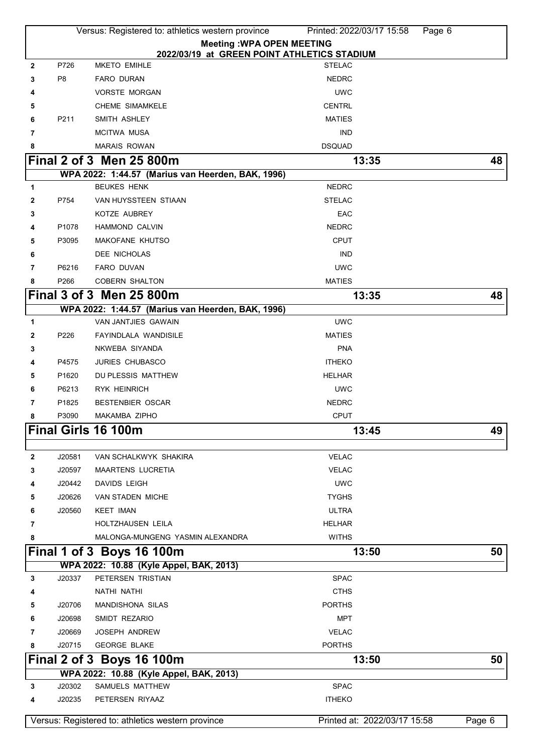|              |                   | Versus: Registered to: athletics western province | Printed: 2022/03/17 15:58    | Page 6 |
|--------------|-------------------|---------------------------------------------------|------------------------------|--------|
|              |                   | <b>Meeting: WPA OPEN MEETING</b>                  |                              |        |
|              |                   | 2022/03/19 at GREEN POINT ATHLETICS STADIUM       |                              |        |
| $\mathbf{2}$ | P726              | <b>MKETO EMIHLE</b>                               | <b>STELAC</b>                |        |
| 3            | P <sub>8</sub>    | <b>FARO DURAN</b>                                 | <b>NEDRC</b>                 |        |
| 4            |                   | <b>VORSTE MORGAN</b>                              | <b>UWC</b>                   |        |
| 5            |                   | <b>CHEME SIMAMKELE</b>                            | <b>CENTRL</b>                |        |
| 6            | P211              | SMITH ASHLEY                                      | <b>MATIES</b>                |        |
| 7            |                   | <b>MCITWA MUSA</b>                                | <b>IND</b>                   |        |
| 8            |                   | <b>MARAIS ROWAN</b>                               | <b>DSQUAD</b>                |        |
|              |                   | Final 2 of 3 Men 25 800m                          | 13:35                        | 48     |
|              |                   | WPA 2022: 1:44.57 (Marius van Heerden, BAK, 1996) |                              |        |
| 1            |                   | <b>BEUKES HENK</b>                                | <b>NEDRC</b>                 |        |
| 2            | P754              | VAN HUYSSTEEN STIAAN                              | <b>STELAC</b>                |        |
| 3            |                   | KOTZE AUBREY                                      | EAC                          |        |
| 4            | P <sub>1078</sub> | HAMMOND CALVIN                                    | <b>NEDRC</b>                 |        |
| 5            | P3095             | MAKOFANE KHUTSO                                   | <b>CPUT</b>                  |        |
| 6            |                   | <b>DEE NICHOLAS</b>                               | <b>IND</b>                   |        |
| 7            | P6216             | <b>FARO DUVAN</b>                                 | <b>UWC</b>                   |        |
| 8            | P266              | <b>COBERN SHALTON</b>                             | <b>MATIES</b>                |        |
|              |                   | <b>Final 3 of 3 Men 25 800m</b>                   | 13:35                        | 48     |
|              |                   | WPA 2022: 1:44.57 (Marius van Heerden, BAK, 1996) |                              |        |
| 1            |                   | VAN JANTJIES GAWAIN                               | <b>UWC</b>                   |        |
| 2            | P226              | FAYINDLALA WANDISILE                              | <b>MATIES</b>                |        |
| 3            |                   | NKWEBA SIYANDA                                    | <b>PNA</b>                   |        |
| 4            | P4575             | <b>JURIES CHUBASCO</b>                            | <b>ITHEKO</b>                |        |
| 5            | P1620             | DU PLESSIS MATTHEW                                | <b>HELHAR</b>                |        |
| 6            | P6213             | RYK HEINRICH                                      | <b>UWC</b>                   |        |
| 7            | P1825             | <b>BESTENBIER OSCAR</b>                           | <b>NEDRC</b>                 |        |
| 8            | P3090             | MAKAMBA ZIPHO                                     | <b>CPUT</b>                  |        |
|              |                   | Final Girls 16 100m                               | 13:45                        | 49     |
|              |                   |                                                   |                              |        |
| $\mathbf{2}$ | J20581            | VAN SCHALKWYK SHAKIRA                             | <b>VELAC</b>                 |        |
| 3            | J20597            | <b>MAARTENS LUCRETIA</b>                          | <b>VELAC</b>                 |        |
| 4            | J20442            | DAVIDS LEIGH                                      | <b>UWC</b>                   |        |
| 5            | J20626            | VAN STADEN MICHE                                  | <b>TYGHS</b>                 |        |
| 6            | J20560            | <b>KEET IMAN</b>                                  | <b>ULTRA</b>                 |        |
| 7            |                   | HOLTZHAUSEN LEILA                                 | <b>HELHAR</b>                |        |
| 8            |                   | MALONGA-MUNGENG YASMIN ALEXANDRA                  | <b>WITHS</b>                 |        |
|              |                   | Final 1 of 3 Boys 16 100m                         | 13:50                        | 50     |
|              |                   | WPA 2022: 10.88 (Kyle Appel, BAK, 2013)           |                              |        |
| 3            | J20337            | PETERSEN TRISTIAN                                 | <b>SPAC</b>                  |        |
| 4            |                   | NATHI NATHI                                       | <b>CTHS</b>                  |        |
| 5            | J20706            | <b>MANDISHONA SILAS</b>                           | <b>PORTHS</b>                |        |
| 6            | J20698            | SMIDT REZARIO                                     | <b>MPT</b>                   |        |
| 7            | J20669            | <b>JOSEPH ANDREW</b>                              | <b>VELAC</b>                 |        |
| 8            | J20715            | <b>GEORGE BLAKE</b>                               | <b>PORTHS</b>                |        |
|              |                   | Final 2 of 3 Boys 16 100m                         | 13:50                        | 50     |
|              |                   | WPA 2022: 10.88 (Kyle Appel, BAK, 2013)           |                              |        |
| 3            | J20302            | SAMUELS MATTHEW                                   | <b>SPAC</b>                  |        |
| 4            | J20235            | PETERSEN RIYAAZ                                   | <b>ITHEKO</b>                |        |
|              |                   | Versus: Registered to: athletics western province | Printed at: 2022/03/17 15:58 | Page 6 |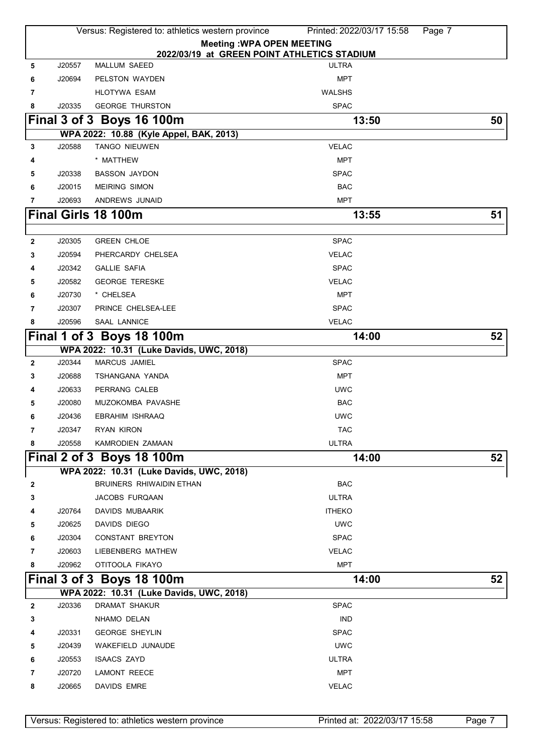|              |        | Versus: Registered to: athletics western province | Printed: 2022/03/17 15:58                   | Page 7 |
|--------------|--------|---------------------------------------------------|---------------------------------------------|--------|
|              |        |                                                   | <b>Meeting: WPA OPEN MEETING</b>            |        |
|              |        |                                                   | 2022/03/19 at GREEN POINT ATHLETICS STADIUM |        |
| 5            | J20557 | MALLUM SAEED                                      | <b>ULTRA</b>                                |        |
| 6            | J20694 | PELSTON WAYDEN                                    | <b>MPT</b>                                  |        |
| 7            |        | <b>HLOTYWA ESAM</b>                               | <b>WALSHS</b>                               |        |
| 8            | J20335 | <b>GEORGE THURSTON</b>                            | <b>SPAC</b>                                 |        |
|              |        | Final 3 of 3 Boys 16 100m                         | 13:50                                       | 50     |
|              |        | WPA 2022: 10.88 (Kyle Appel, BAK, 2013)           |                                             |        |
| 3            | J20588 | TANGO NIEUWEN                                     | <b>VELAC</b>                                |        |
| 4            |        | * MATTHEW                                         | <b>MPT</b>                                  |        |
| 5            | J20338 | <b>BASSON JAYDON</b>                              | <b>SPAC</b>                                 |        |
| 6            | J20015 | <b>MEIRING SIMON</b>                              | <b>BAC</b>                                  |        |
| 7            | J20693 | ANDREWS JUNAID                                    | <b>MPT</b>                                  |        |
|              |        | Final Girls 18 100m                               | 13:55                                       | 51     |
|              |        | <b>GREEN CHLOE</b>                                | <b>SPAC</b>                                 |        |
| $\mathbf{2}$ | J20305 |                                                   |                                             |        |
| 3            | J20594 | PHERCARDY CHELSEA                                 | <b>VELAC</b>                                |        |
| 4            | J20342 | <b>GALLIE SAFIA</b>                               | <b>SPAC</b>                                 |        |
| 5            | J20582 | <b>GEORGE TERESKE</b>                             | <b>VELAC</b>                                |        |
| 6            | J20730 | * CHELSEA                                         | <b>MPT</b>                                  |        |
| 7            | J20307 | PRINCE CHELSEA-LEE                                | <b>SPAC</b>                                 |        |
| 8            | J20596 | <b>SAAL LANNICE</b>                               | <b>VELAC</b>                                |        |
|              |        | Final 1 of 3 Boys 18 100m                         | 14:00                                       | 52     |
|              |        | WPA 2022: 10.31 (Luke Davids, UWC, 2018)          |                                             |        |
| $\mathbf{2}$ | J20344 | MARCUS JAMIEL                                     | <b>SPAC</b>                                 |        |
| 3            | J20688 | TSHANGANA YANDA                                   | <b>MPT</b>                                  |        |
| 4            | J20633 | PERRANG CALEB                                     | <b>UWC</b>                                  |        |
| 5            | J20080 | MUZOKOMBA PAVASHE                                 | <b>BAC</b>                                  |        |
| 6            | J20436 | EBRAHIM ISHRAAQ                                   | <b>UWC</b>                                  |        |
| 7            | J20347 | RYAN KIRON                                        | <b>TAC</b>                                  |        |
| 8            | J20558 | KAMRODIEN ZAMAAN                                  | <b>ULTRA</b>                                |        |
|              |        | Final 2 of 3 Boys 18 100m                         | 14:00                                       | 52     |
|              |        | WPA 2022: 10.31 (Luke Davids, UWC, 2018)          |                                             |        |
| 2            |        | BRUINERS RHIWAIDIN ETHAN                          | <b>BAC</b>                                  |        |
| 3            |        | JACOBS FURQAAN                                    | <b>ULTRA</b>                                |        |
| 4            | J20764 | <b>DAVIDS MUBAARIK</b>                            | <b>ITHEKO</b>                               |        |
| 5            | J20625 | DAVIDS DIEGO                                      | <b>UWC</b>                                  |        |
| 6            | J20304 | <b>CONSTANT BREYTON</b>                           | <b>SPAC</b>                                 |        |
| 7            | J20603 | LIEBENBERG MATHEW                                 | <b>VELAC</b>                                |        |
| 8            | J20962 | OTITOOLA FIKAYO                                   | <b>MPT</b>                                  |        |
|              |        | Final 3 of 3 Boys 18 100m                         | 14:00                                       | 52     |
|              |        | WPA 2022: 10.31 (Luke Davids, UWC, 2018)          |                                             |        |
| 2            | J20336 | <b>DRAMAT SHAKUR</b>                              | <b>SPAC</b>                                 |        |
| 3            |        | NHAMO DELAN                                       | <b>IND</b>                                  |        |
| 4            | J20331 | <b>GEORGE SHEYLIN</b>                             | <b>SPAC</b>                                 |        |
| 5            | J20439 | WAKEFIELD JUNAUDE                                 | <b>UWC</b>                                  |        |
| 6            | J20553 | <b>ISAACS ZAYD</b>                                | <b>ULTRA</b>                                |        |
| 7            | J20720 | <b>LAMONT REECE</b>                               | <b>MPT</b>                                  |        |
| 8            | J20665 | <b>DAVIDS EMRE</b>                                | <b>VELAC</b>                                |        |
|              |        |                                                   |                                             |        |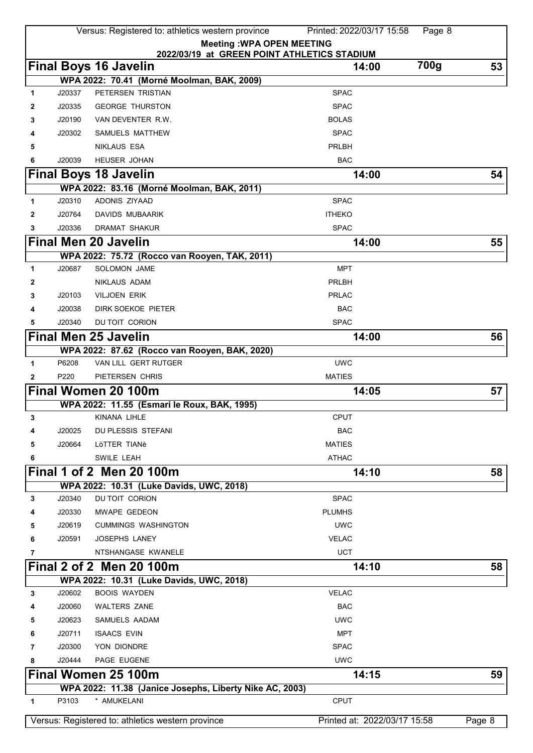| <b>Meeting: WPA OPEN MEETING</b><br>2022/03/19 at GREEN POINT ATHLETICS STADIUM<br>700g<br><b>Final Boys 16 Javelin</b><br>53<br>14:00<br>WPA 2022: 70.41 (Morné Moolman, BAK, 2009)<br>PETERSEN TRISTIAN<br>J20337<br><b>SPAC</b><br>$\mathbf{1}$ |
|----------------------------------------------------------------------------------------------------------------------------------------------------------------------------------------------------------------------------------------------------|
|                                                                                                                                                                                                                                                    |
|                                                                                                                                                                                                                                                    |
|                                                                                                                                                                                                                                                    |
|                                                                                                                                                                                                                                                    |
|                                                                                                                                                                                                                                                    |
| <b>SPAC</b><br>J20335<br><b>GEORGE THURSTON</b><br>2<br><b>BOLAS</b><br>J20190<br>VAN DEVENTER R.W.                                                                                                                                                |
| 3<br><b>SPAC</b><br>J20302<br>SAMUELS MATTHEW                                                                                                                                                                                                      |
| 4<br><b>NIKLAUS ESA</b><br>PRLBH                                                                                                                                                                                                                   |
| 5<br>J20039<br><b>HEUSER JOHAN</b><br><b>BAC</b>                                                                                                                                                                                                   |
| 6                                                                                                                                                                                                                                                  |
| <b>Final Boys 18 Javelin</b><br>14:00<br>54                                                                                                                                                                                                        |
| WPA 2022: 83.16 (Morné Moolman, BAK, 2011)<br>ADONIS ZIYAAD<br>J20310<br><b>SPAC</b><br>$\mathbf{1}$                                                                                                                                               |
| J20764<br><b>ITHEKO</b><br>DAVIDS MUBAARIK                                                                                                                                                                                                         |
| 2<br><b>SPAC</b><br>J20336<br><b>DRAMAT SHAKUR</b>                                                                                                                                                                                                 |
| 3                                                                                                                                                                                                                                                  |
| <b>Final Men 20 Javelin</b><br>55<br>14:00                                                                                                                                                                                                         |
| WPA 2022: 75.72 (Rocco van Rooyen, TAK, 2011)<br><b>SOLOMON JAME</b><br>J20687<br><b>MPT</b><br>1                                                                                                                                                  |
| <b>PRLBH</b><br>NIKLAUS ADAM                                                                                                                                                                                                                       |
| 2<br>J20103<br><b>VILJOEN ERIK</b><br><b>PRLAC</b>                                                                                                                                                                                                 |
| 3<br>DIRK SOEKOE PIETER<br><b>BAC</b><br>J20038                                                                                                                                                                                                    |
| J20340<br>DU TOIT CORION<br><b>SPAC</b>                                                                                                                                                                                                            |
| 5                                                                                                                                                                                                                                                  |
| <b>Final Men 25 Javelin</b><br>14:00<br>56                                                                                                                                                                                                         |
| WPA 2022: 87.62 (Rocco van Rooyen, BAK, 2020)<br><b>UWC</b><br>VAN LILL GERT RUTGER<br>P6208<br>1                                                                                                                                                  |
| PIETERSEN CHRIS<br><b>MATIES</b><br>P220<br>2                                                                                                                                                                                                      |
| Final Women 20 100m<br>14:05<br>57                                                                                                                                                                                                                 |
| WPA 2022: 11.55 (Esmari le Roux, BAK, 1995)                                                                                                                                                                                                        |
| KINANA LIHLE<br><b>CPUT</b><br>3                                                                                                                                                                                                                   |
| DU PLESSIS STEFANI<br>J20025<br><b>BAC</b><br>4                                                                                                                                                                                                    |
| J20664<br><b>MATIES</b><br>LöTTER TIANè<br>5                                                                                                                                                                                                       |
| SWILE LEAH<br><b>ATHAC</b><br>6                                                                                                                                                                                                                    |
| Final 1 of 2 Men 20 100m<br>14:10<br>58                                                                                                                                                                                                            |
| WPA 2022: 10.31 (Luke Davids, UWC, 2018)                                                                                                                                                                                                           |
| DU TOIT CORION<br>J20340<br><b>SPAC</b><br>3                                                                                                                                                                                                       |
| J20330<br>MWAPE GEDEON<br><b>PLUMHS</b><br>4                                                                                                                                                                                                       |
| <b>UWC</b><br>J20619<br><b>CUMMINGS WASHINGTON</b><br>5                                                                                                                                                                                            |
| <b>VELAC</b><br>J20591<br><b>JOSEPHS LANEY</b><br>6                                                                                                                                                                                                |
| <b>UCT</b><br>NTSHANGASE KWANELE<br>7                                                                                                                                                                                                              |
| Final 2 of 2 Men 20 100m<br>14:10<br>58                                                                                                                                                                                                            |
| WPA 2022: 10.31 (Luke Davids, UWC, 2018)                                                                                                                                                                                                           |
| <b>BOOIS WAYDEN</b><br>J20602<br><b>VELAC</b><br>3                                                                                                                                                                                                 |
| <b>WALTERS ZANE</b><br><b>BAC</b><br>J20060<br>4                                                                                                                                                                                                   |
| <b>UWC</b><br>J20623<br>SAMUELS AADAM<br>5                                                                                                                                                                                                         |
| J20711<br><b>ISAACS EVIN</b><br><b>MPT</b><br>6                                                                                                                                                                                                    |
| YON DIONDRE<br><b>SPAC</b><br>J20300<br>7                                                                                                                                                                                                          |
| J20444<br>PAGE EUGENE<br><b>UWC</b><br>8                                                                                                                                                                                                           |
| Final Women 25 100m<br>14:15<br>59                                                                                                                                                                                                                 |
| WPA 2022: 11.38 (Janice Josephs, Liberty Nike AC, 2003)                                                                                                                                                                                            |
| * AMUKELANI<br><b>CPUT</b><br>P3103<br>1                                                                                                                                                                                                           |
| Versus: Registered to: athletics western province<br>Printed at: 2022/03/17 15:58<br>Page 8                                                                                                                                                        |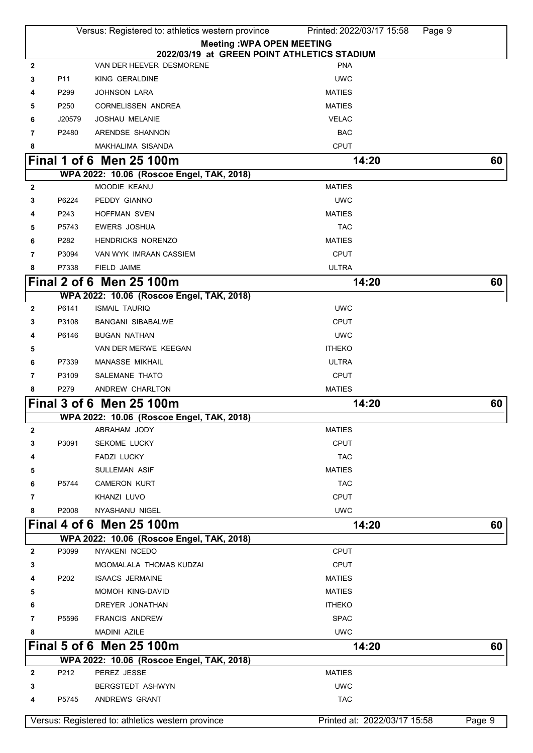|              |        | Versus: Registered to: athletics western province                       | Printed: 2022/03/17 15:58<br>Page 9 |        |
|--------------|--------|-------------------------------------------------------------------------|-------------------------------------|--------|
|              |        | <b>Meeting: WPA OPEN MEETING</b>                                        |                                     |        |
| $\mathbf{2}$ |        | 2022/03/19 at GREEN POINT ATHLETICS STADIUM<br>VAN DER HEEVER DESMORENE | <b>PNA</b>                          |        |
| 3            | P11    | KING GERALDINE                                                          | <b>UWC</b>                          |        |
| 4            | P299   | <b>JOHNSON LARA</b>                                                     | <b>MATIES</b>                       |        |
| 5            | P250   | <b>CORNELISSEN ANDREA</b>                                               | <b>MATIES</b>                       |        |
| 6            | J20579 | <b>JOSHAU MELANIE</b>                                                   | <b>VELAC</b>                        |        |
| 7            | P2480  | <b>ARENDSE SHANNON</b>                                                  | <b>BAC</b>                          |        |
| 8            |        | MAKHALIMA SISANDA                                                       | <b>CPUT</b>                         |        |
|              |        | Final 1 of 6 Men 25 100m                                                | 14:20                               | 60     |
|              |        | WPA 2022: 10.06 (Roscoe Engel, TAK, 2018)                               |                                     |        |
| 2            |        | MOODIE KEANU                                                            | <b>MATIES</b>                       |        |
| 3            | P6224  | PEDDY GIANNO                                                            | <b>UWC</b>                          |        |
| 4            | P243   | <b>HOFFMAN SVEN</b>                                                     | <b>MATIES</b>                       |        |
| 5            | P5743  | <b>EWERS JOSHUA</b>                                                     | <b>TAC</b>                          |        |
| 6            | P282   | <b>HENDRICKS NORENZO</b>                                                | <b>MATIES</b>                       |        |
| 7            | P3094  | VAN WYK IMRAAN CASSIEM                                                  | <b>CPUT</b>                         |        |
| 8            | P7338  | FIELD JAIME                                                             | <b>ULTRA</b>                        |        |
|              |        | Final 2 of 6 Men 25 100m                                                | 14:20                               | 60     |
|              |        | WPA 2022: 10.06 (Roscoe Engel, TAK, 2018)                               |                                     |        |
| 2            | P6141  | <b>ISMAIL TAURIQ</b>                                                    | <b>UWC</b>                          |        |
| 3            | P3108  | <b>BANGANI SIBABALWE</b>                                                | <b>CPUT</b>                         |        |
| 4            | P6146  | <b>BUGAN NATHAN</b>                                                     | <b>UWC</b>                          |        |
| 5            |        | VAN DER MERWE KEEGAN                                                    | <b>ITHEKO</b>                       |        |
| 6            | P7339  | MANASSE MIKHAIL                                                         | <b>ULTRA</b>                        |        |
| 7            | P3109  | SALEMANE THATO                                                          | <b>CPUT</b>                         |        |
| 8            | P279   | ANDREW CHARLTON                                                         | <b>MATIES</b>                       |        |
|              |        | <b>Final 3 of 6 Men 25 100m</b>                                         | 14:20                               | 60     |
|              |        | WPA 2022: 10.06 (Roscoe Engel, TAK, 2018)                               |                                     |        |
| 2            |        | ABRAHAM JODY                                                            | <b>MATIES</b>                       |        |
| 3            | P3091  | <b>SEKOME LUCKY</b>                                                     | <b>CPUT</b>                         |        |
| 4            |        | FADZI LUCKY                                                             | <b>TAC</b>                          |        |
| 5            |        | <b>SULLEMAN ASIF</b>                                                    | <b>MATIES</b>                       |        |
| 6            | P5744  | <b>CAMERON KURT</b>                                                     | <b>TAC</b>                          |        |
| 7            |        | KHANZI LUVO                                                             | <b>CPUT</b>                         |        |
| 8            | P2008  | NYASHANU NIGEL                                                          | <b>UWC</b>                          |        |
|              |        | Final 4 of 6 Men 25 100m                                                | 14:20                               | 60     |
|              |        | WPA 2022: 10.06 (Roscoe Engel, TAK, 2018)                               |                                     |        |
| $\mathbf{2}$ | P3099  | NYAKENI NCEDO                                                           | <b>CPUT</b>                         |        |
| 3            |        | MGOMALALA THOMAS KUDZAI                                                 | <b>CPUT</b>                         |        |
| 4            | P202   | <b>ISAACS JERMAINE</b>                                                  | <b>MATIES</b>                       |        |
| 5            |        | <b>MOMOH KING-DAVID</b>                                                 | <b>MATIES</b>                       |        |
| 6            |        | DREYER JONATHAN                                                         | <b>ITHEKO</b>                       |        |
| 7            | P5596  | <b>FRANCIS ANDREW</b>                                                   | <b>SPAC</b>                         |        |
| 8            |        | <b>MADINI AZILE</b>                                                     | <b>UWC</b>                          |        |
|              |        | <b>Final 5 of 6 Men 25 100m</b>                                         | 14:20                               | 60     |
|              |        | WPA 2022: 10.06 (Roscoe Engel, TAK, 2018)                               |                                     |        |
| $\mathbf{2}$ | P212   | PEREZ JESSE                                                             | <b>MATIES</b>                       |        |
| 3            |        | BERGSTEDT ASHWYN                                                        | <b>UWC</b>                          |        |
| 4            | P5745  | ANDREWS GRANT                                                           | <b>TAC</b>                          |        |
|              |        | Versus: Registered to: athletics western province                       | Printed at: 2022/03/17 15:58        | Page 9 |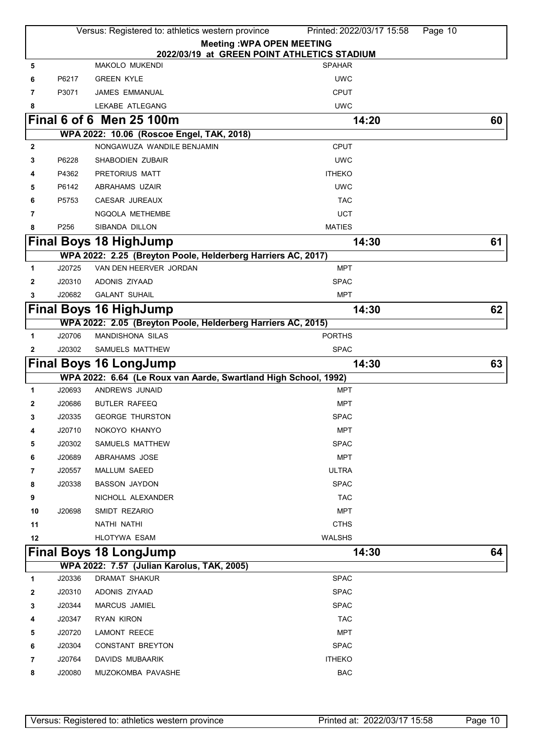|        |                  | Versus: Registered to: athletics western province               | Printed: 2022/03/17 15:58<br>Page 10                                            |    |
|--------|------------------|-----------------------------------------------------------------|---------------------------------------------------------------------------------|----|
|        |                  |                                                                 | <b>Meeting: WPA OPEN MEETING</b><br>2022/03/19 at GREEN POINT ATHLETICS STADIUM |    |
| 5      |                  | <b>MAKOLO MUKENDI</b>                                           | <b>SPAHAR</b>                                                                   |    |
| 6      | P6217            | <b>GREEN KYLE</b>                                               | <b>UWC</b>                                                                      |    |
| 7      | P3071            | <b>JAMES EMMANUAL</b>                                           | <b>CPUT</b>                                                                     |    |
| 8      |                  | LEKABE ATLEGANG                                                 | <b>UWC</b>                                                                      |    |
|        |                  | Final 6 of 6 Men 25 100m                                        | 14:20                                                                           | 60 |
|        |                  | WPA 2022: 10.06 (Roscoe Engel, TAK, 2018)                       |                                                                                 |    |
| 2      |                  | NONGAWUZA WANDILE BENJAMIN                                      | <b>CPUT</b>                                                                     |    |
| 3      | P6228            | SHABODIEN ZUBAIR                                                | <b>UWC</b>                                                                      |    |
|        | P4362            | PRETORIUS MATT                                                  | <b>ITHEKO</b>                                                                   |    |
| 5      | P6142            | ABRAHAMS UZAIR                                                  | <b>UWC</b>                                                                      |    |
| 6      | P5753            | CAESAR JUREAUX                                                  | <b>TAC</b>                                                                      |    |
| 7      |                  | NGQOLA METHEMBE                                                 | <b>UCT</b>                                                                      |    |
| 8      | P256             | SIBANDA DILLON                                                  | <b>MATIES</b>                                                                   |    |
|        |                  | <b>Final Boys 18 HighJump</b>                                   | 14:30                                                                           | 61 |
|        |                  | WPA 2022: 2.25 (Breyton Poole, Helderberg Harriers AC, 2017)    |                                                                                 |    |
| 1      | J20725           | VAN DEN HEERVER JORDAN                                          | <b>MPT</b>                                                                      |    |
| 2      | J20310           | ADONIS ZIYAAD                                                   | <b>SPAC</b>                                                                     |    |
| 3      | J20682           | <b>GALANT SUHAIL</b>                                            | <b>MPT</b>                                                                      |    |
|        |                  | <b>Final Boys 16 HighJump</b>                                   | 14:30                                                                           | 62 |
|        |                  | WPA 2022: 2.05 (Breyton Poole, Helderberg Harriers AC, 2015)    |                                                                                 |    |
| 1      | J20706           | MANDISHONA SILAS                                                | <b>PORTHS</b>                                                                   |    |
| 2      | J20302           | SAMUELS MATTHEW                                                 | <b>SPAC</b>                                                                     |    |
|        |                  |                                                                 |                                                                                 |    |
|        |                  | <b>Final Boys 16 LongJump</b>                                   | 14:30                                                                           | 63 |
|        |                  | WPA 2022: 6.64 (Le Roux van Aarde, Swartland High School, 1992) |                                                                                 |    |
| 1      | J20693           | ANDREWS JUNAID                                                  | <b>MPT</b>                                                                      |    |
| 2      | J20686           | <b>BUTLER RAFEEQ</b>                                            | <b>MPT</b>                                                                      |    |
| 3      | J20335           | <b>GEORGE THURSTON</b>                                          | <b>SPAC</b>                                                                     |    |
| 4      | J20710           | NOKOYO KHANYO                                                   | MPT                                                                             |    |
| 5      | J20302           | SAMUELS MATTHEW                                                 | <b>SPAC</b>                                                                     |    |
| 6      | J20689           | ABRAHAMS JOSE                                                   | <b>MPT</b>                                                                      |    |
| 7      | J20557           | MALLUM SAEED                                                    | <b>ULTRA</b>                                                                    |    |
| 8      | J20338           | <b>BASSON JAYDON</b>                                            | <b>SPAC</b>                                                                     |    |
| 9      |                  | NICHOLL ALEXANDER                                               | <b>TAC</b>                                                                      |    |
| 10     | J20698           | SMIDT REZARIO                                                   | <b>MPT</b>                                                                      |    |
| 11     |                  | NATHI NATHI                                                     | <b>CTHS</b>                                                                     |    |
| 12     |                  | <b>HLOTYWA ESAM</b>                                             | WALSHS                                                                          |    |
|        |                  | <b>Final Boys 18 LongJump</b>                                   | 14:30                                                                           | 64 |
|        |                  | WPA 2022: 7.57 (Julian Karolus, TAK, 2005)                      |                                                                                 |    |
| 1      | J20336           | DRAMAT SHAKUR                                                   | <b>SPAC</b>                                                                     |    |
| 2      | J20310           | ADONIS ZIYAAD                                                   | <b>SPAC</b>                                                                     |    |
| 3      | J20344           | <b>MARCUS JAMIEL</b>                                            | <b>SPAC</b>                                                                     |    |
| 4      | J20347           | RYAN KIRON                                                      | <b>TAC</b>                                                                      |    |
| 5      | J20720           | LAMONT REECE                                                    | <b>MPT</b>                                                                      |    |
| 6      | J20304           | <b>CONSTANT BREYTON</b>                                         | <b>SPAC</b>                                                                     |    |
| 7<br>8 | J20764<br>J20080 | DAVIDS MUBAARIK<br>MUZOKOMBA PAVASHE                            | <b>ITHEKO</b><br><b>BAC</b>                                                     |    |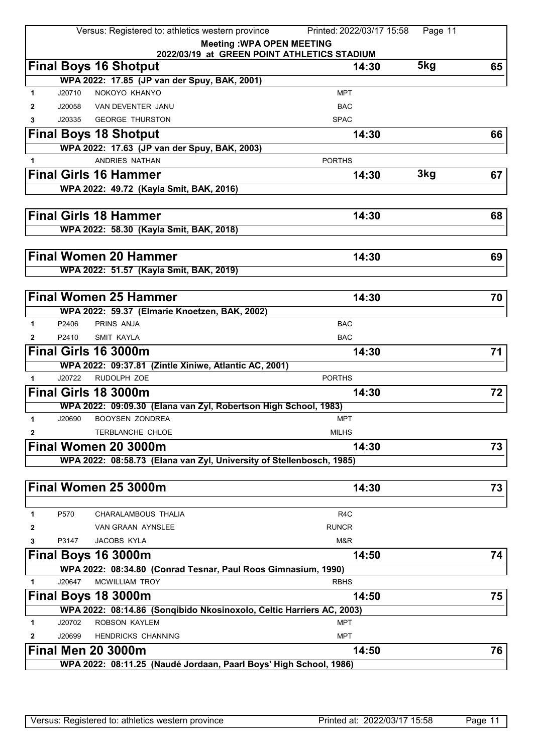|                                                                                 |        | Versus: Registered to: athletics western province     | Printed: 2022/03/17 15:58                                            | Page 11 |    |  |  |
|---------------------------------------------------------------------------------|--------|-------------------------------------------------------|----------------------------------------------------------------------|---------|----|--|--|
| <b>Meeting: WPA OPEN MEETING</b><br>2022/03/19 at GREEN POINT ATHLETICS STADIUM |        |                                                       |                                                                      |         |    |  |  |
| 5kg<br><b>Final Boys 16 Shotput</b><br>65<br>14:30                              |        |                                                       |                                                                      |         |    |  |  |
|                                                                                 |        | WPA 2022: 17.85 (JP van der Spuy, BAK, 2001)          |                                                                      |         |    |  |  |
| 1                                                                               | J20710 | NOKOYO KHANYO                                         | <b>MPT</b>                                                           |         |    |  |  |
| 2                                                                               | J20058 | VAN DEVENTER JANU                                     | <b>BAC</b>                                                           |         |    |  |  |
| 3                                                                               | J20335 | <b>GEORGE THURSTON</b>                                | <b>SPAC</b>                                                          |         |    |  |  |
|                                                                                 |        | <b>Final Boys 18 Shotput</b>                          | 14:30                                                                |         | 66 |  |  |
|                                                                                 |        | WPA 2022: 17.63 (JP van der Spuy, BAK, 2003)          |                                                                      |         |    |  |  |
| 1                                                                               |        | ANDRIES NATHAN                                        | <b>PORTHS</b>                                                        |         |    |  |  |
|                                                                                 |        | <b>Final Girls 16 Hammer</b>                          | 14:30                                                                | 3kg     | 67 |  |  |
|                                                                                 |        | WPA 2022: 49.72 (Kayla Smit, BAK, 2016)               |                                                                      |         |    |  |  |
|                                                                                 |        |                                                       |                                                                      |         |    |  |  |
|                                                                                 |        | <b>Final Girls 18 Hammer</b>                          | 14:30                                                                |         | 68 |  |  |
|                                                                                 |        | WPA 2022: 58.30 (Kayla Smit, BAK, 2018)               |                                                                      |         |    |  |  |
|                                                                                 |        |                                                       |                                                                      |         |    |  |  |
|                                                                                 |        | <b>Final Women 20 Hammer</b>                          | 14:30                                                                |         | 69 |  |  |
|                                                                                 |        | WPA 2022: 51.57 (Kayla Smit, BAK, 2019)               |                                                                      |         |    |  |  |
|                                                                                 |        | <b>Final Women 25 Hammer</b>                          | 14:30                                                                |         | 70 |  |  |
|                                                                                 |        | WPA 2022: 59.37 (Elmarie Knoetzen, BAK, 2002)         |                                                                      |         |    |  |  |
| 1                                                                               | P2406  | PRINS ANJA                                            | <b>BAC</b>                                                           |         |    |  |  |
| $\mathbf{2}$                                                                    | P2410  | <b>SMIT KAYLA</b>                                     | <b>BAC</b>                                                           |         |    |  |  |
|                                                                                 |        | Final Girls 16 3000m                                  | 14:30                                                                |         | 71 |  |  |
|                                                                                 |        | WPA 2022: 09:37.81 (Zintle Xiniwe, Atlantic AC, 2001) |                                                                      |         |    |  |  |
| 1                                                                               | J20722 | RUDOLPH ZOE                                           | <b>PORTHS</b>                                                        |         |    |  |  |
|                                                                                 |        | Final Girls 18 3000m                                  | 14:30                                                                |         | 72 |  |  |
|                                                                                 |        |                                                       | WPA 2022: 09:09.30 (Elana van Zyl, Robertson High School, 1983)      |         |    |  |  |
| 1                                                                               | J20690 | <b>BOOYSEN ZONDREA</b>                                | <b>MPT</b>                                                           |         |    |  |  |
| 2                                                                               |        | TERBLANCHE CHLOE                                      | <b>MILHS</b>                                                         |         |    |  |  |
|                                                                                 |        | Final Women 20 3000m                                  | 14:30                                                                |         | 73 |  |  |
|                                                                                 |        |                                                       | WPA 2022: 08:58.73 (Elana van Zyl, University of Stellenbosch, 1985) |         |    |  |  |
|                                                                                 |        |                                                       |                                                                      |         |    |  |  |
|                                                                                 |        | Final Women 25 3000m                                  | 14:30                                                                |         | 73 |  |  |
|                                                                                 |        |                                                       |                                                                      |         |    |  |  |
| 1<br>2                                                                          | P570   | CHARALAMBOUS THALIA<br>VAN GRAAN AYNSLEE              | R4C<br><b>RUNCR</b>                                                  |         |    |  |  |
| 3                                                                               | P3147  | JACOBS KYLA                                           | M&R                                                                  |         |    |  |  |
|                                                                                 |        | Final Boys 16 3000m                                   | 14:50                                                                |         | 74 |  |  |
|                                                                                 |        |                                                       | WPA 2022: 08:34.80 (Conrad Tesnar, Paul Roos Gimnasium, 1990)        |         |    |  |  |
| 1                                                                               | J20647 | MCWILLIAM TROY                                        | <b>RBHS</b>                                                          |         |    |  |  |
|                                                                                 |        | Final Boys 18 3000m                                   | 14:50                                                                |         | 75 |  |  |
|                                                                                 |        |                                                       | WPA 2022: 08:14.86 (Songibido Nkosinoxolo, Celtic Harriers AC, 2003) |         |    |  |  |
| 1                                                                               | J20702 | ROBSON KAYLEM                                         | <b>MPT</b>                                                           |         |    |  |  |
| 2                                                                               | J20699 | <b>HENDRICKS CHANNING</b>                             | <b>MPT</b>                                                           |         |    |  |  |
|                                                                                 |        | <b>Final Men 20 3000m</b>                             | 14:50                                                                |         | 76 |  |  |
|                                                                                 |        |                                                       | WPA 2022: 08:11.25 (Naudé Jordaan, Paarl Boys' High School, 1986)    |         |    |  |  |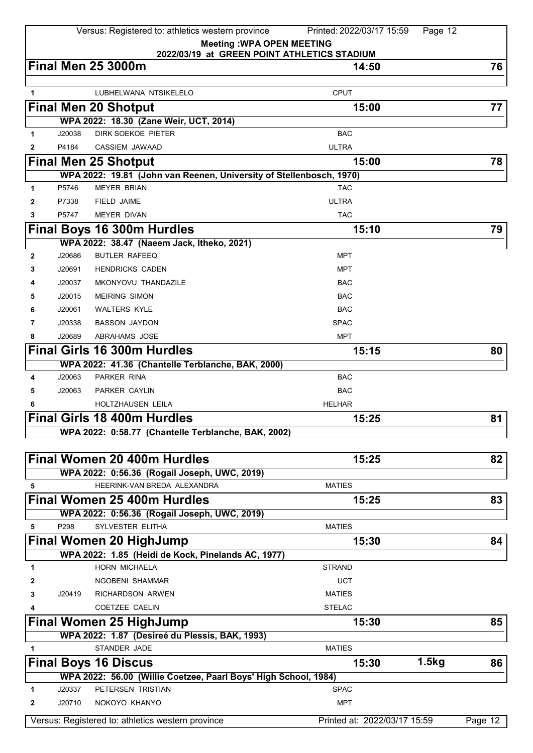|              |        | Versus: Registered to: athletics western province                                    | Printed: 2022/03/17 15:59                   | Page 12 |         |
|--------------|--------|--------------------------------------------------------------------------------------|---------------------------------------------|---------|---------|
|              |        |                                                                                      | <b>Meeting: WPA OPEN MEETING</b>            |         |         |
|              |        | <b>Final Men 25 3000m</b>                                                            | 2022/03/19 at GREEN POINT ATHLETICS STADIUM |         |         |
|              |        |                                                                                      | 14:50                                       |         | 76      |
| 1            |        | LUBHELWANA NTSIKELELO                                                                | <b>CPUT</b>                                 |         |         |
|              |        | <b>Final Men 20 Shotput</b>                                                          | 15:00                                       |         | 77      |
|              |        | WPA 2022: 18.30 (Zane Weir, UCT, 2014)                                               |                                             |         |         |
| 1            | J20038 | DIRK SOEKOE PIETER                                                                   | <b>BAC</b>                                  |         |         |
| 2            | P4184  | CASSIEM JAWAAD                                                                       | <b>ULTRA</b>                                |         |         |
|              |        | <b>Final Men 25 Shotput</b>                                                          | 15:00                                       |         | 78      |
|              |        | WPA 2022: 19.81 (John van Reenen, University of Stellenbosch, 1970)                  |                                             |         |         |
| 1            | P5746  | <b>MEYER BRIAN</b>                                                                   | <b>TAC</b>                                  |         |         |
| $\mathbf{2}$ | P7338  | <b>FIELD JAIME</b>                                                                   | <b>ULTRA</b>                                |         |         |
| 3            | P5747  | <b>MEYER DIVAN</b>                                                                   | <b>TAC</b>                                  |         |         |
|              |        | Final Boys 16 300m Hurdles                                                           | 15:10                                       |         | 79      |
|              |        | WPA 2022: 38.47 (Naeem Jack, Itheko, 2021)                                           |                                             |         |         |
| $\mathbf{2}$ | J20686 | <b>BUTLER RAFEEQ</b>                                                                 | MPT                                         |         |         |
| 3            | J20691 | <b>HENDRICKS CADEN</b>                                                               | <b>MPT</b>                                  |         |         |
| 4            | J20037 | MKONYOVU THANDAZILE                                                                  | <b>BAC</b>                                  |         |         |
| 5            | J20015 | <b>MEIRING SIMON</b>                                                                 | <b>BAC</b>                                  |         |         |
| 6            | J20061 | <b>WALTERS KYLE</b>                                                                  | <b>BAC</b>                                  |         |         |
| 7            | J20338 | <b>BASSON JAYDON</b>                                                                 | <b>SPAC</b>                                 |         |         |
| 8            | J20689 | ABRAHAMS JOSE                                                                        | <b>MPT</b>                                  |         |         |
|              |        | <b>Final Girls 16 300m Hurdles</b>                                                   | 15:15                                       |         | 80      |
|              |        | WPA 2022: 41.36 (Chantelle Terblanche, BAK, 2000)                                    |                                             |         |         |
| 4            | J20063 | <b>PARKER RINA</b>                                                                   | <b>BAC</b>                                  |         |         |
| 5            | J20063 | PARKER CAYLIN                                                                        | <b>BAC</b>                                  |         |         |
|              |        | HOLTZHAUSEN LEILA                                                                    | <b>HELHAR</b>                               |         |         |
|              |        | <b>Final Girls 18 400m Hurdles</b>                                                   | 15:25                                       |         | 81      |
|              |        | WPA 2022: 0:58.77 (Chantelle Terblanche, BAK, 2002)                                  |                                             |         |         |
|              |        |                                                                                      |                                             |         |         |
|              |        | Final Women 20 400m Hurdles                                                          | 15:25                                       |         | 82      |
|              |        | WPA 2022: 0:56.36 (Rogail Joseph, UWC, 2019)                                         |                                             |         |         |
| 5            |        | HEERINK-VAN BREDA ALEXANDRA                                                          | <b>MATIES</b>                               |         |         |
|              |        | Final Women 25 400m Hurdles                                                          | 15:25                                       |         | 83      |
|              |        | WPA 2022: 0:56.36 (Rogail Joseph, UWC, 2019)                                         |                                             |         |         |
| 5            | P298   | SYLVESTER ELITHA                                                                     | <b>MATIES</b>                               |         |         |
|              |        | <b>Final Women 20 HighJump</b>                                                       | 15:30                                       |         | 84      |
|              |        | WPA 2022: 1.85 (Heidi de Kock, Pinelands AC, 1977)                                   |                                             |         |         |
| 1            |        | HORN MICHAELA                                                                        | <b>STRAND</b>                               |         |         |
| 2            |        | NGOBENI SHAMMAR                                                                      | UCT                                         |         |         |
| 3            | J20419 | RICHARDSON ARWEN                                                                     | <b>MATIES</b>                               |         |         |
| 4            |        | <b>COETZEE CAELIN</b>                                                                | <b>STELAC</b>                               |         |         |
|              |        | <b>Final Women 25 HighJump</b>                                                       | 15:30                                       |         | 85      |
|              |        | WPA 2022: 1.87 (Desireé du Plessis, BAK, 1993)                                       |                                             |         |         |
| 1            |        | STANDER JADE                                                                         | <b>MATIES</b>                               |         |         |
|              |        | <b>Final Boys 16 Discus</b>                                                          | 15:30                                       | 1.5kg   | 86      |
|              |        | WPA 2022: 56.00 (Willie Coetzee, Paarl Boys' High School, 1984)<br>PETERSEN TRISTIAN |                                             |         |         |
| 1            | J20337 |                                                                                      | <b>SPAC</b>                                 |         |         |
| 2            | J20710 | NOKOYO KHANYO                                                                        | <b>MPT</b>                                  |         |         |
|              |        | Versus: Registered to: athletics western province                                    | Printed at: 2022/03/17 15:59                |         | Page 12 |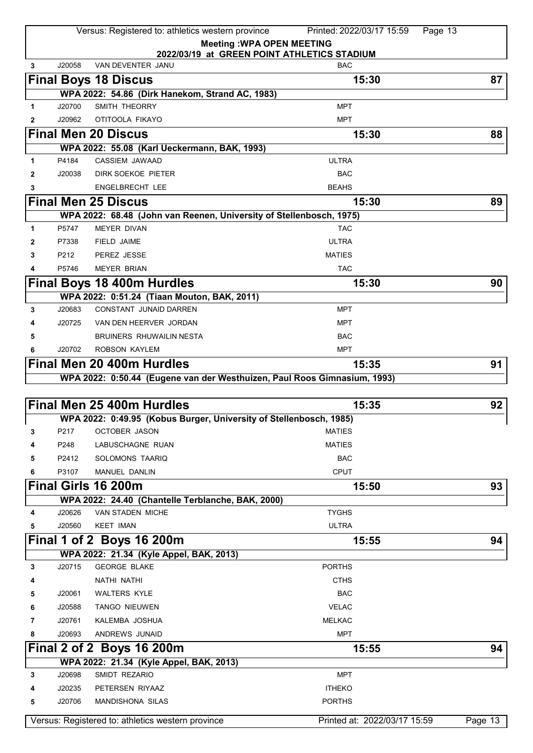|   |        | Versus: Registered to: athletics western province                        | Printed: 2022/03/17 15:59<br>Page 13        |         |
|---|--------|--------------------------------------------------------------------------|---------------------------------------------|---------|
|   |        |                                                                          | <b>Meeting: WPA OPEN MEETING</b>            |         |
|   |        |                                                                          | 2022/03/19 at GREEN POINT ATHLETICS STADIUM |         |
| 3 | J20058 | VAN DEVENTER JANU                                                        | <b>BAC</b>                                  |         |
|   |        | <b>Final Boys 18 Discus</b>                                              | 15:30                                       | 87      |
|   |        | WPA 2022: 54.86 (Dirk Hanekom, Strand AC, 1983)                          |                                             |         |
| 1 | J20700 | SMITH THEORRY                                                            | <b>MPT</b>                                  |         |
| 2 | J20962 | OTITOOLA FIKAYO                                                          | <b>MPT</b>                                  |         |
|   |        | <b>Final Men 20 Discus</b>                                               | 15:30                                       | 88      |
|   |        | WPA 2022: 55.08 (Karl Ueckermann, BAK, 1993)                             |                                             |         |
| 1 | P4184  | <b>CASSIEM JAWAAD</b>                                                    | <b>ULTRA</b>                                |         |
| 2 | J20038 | DIRK SOEKOE PIETER                                                       | <b>BAC</b>                                  |         |
| 3 |        | <b>ENGELBRECHT LEE</b>                                                   | <b>BEAHS</b>                                |         |
|   |        | <b>Final Men 25 Discus</b>                                               | 15:30                                       | 89      |
|   |        | WPA 2022: 68.48 (John van Reenen, University of Stellenbosch, 1975)      |                                             |         |
| 1 | P5747  | <b>MEYER DIVAN</b>                                                       | <b>TAC</b>                                  |         |
| 2 | P7338  | FIELD JAIME                                                              | <b>ULTRA</b>                                |         |
| 3 | P212   | PEREZ JESSE                                                              | <b>MATIES</b>                               |         |
| 4 | P5746  | <b>MEYER BRIAN</b>                                                       | <b>TAC</b>                                  |         |
|   |        | <b>Final Boys 18 400m Hurdles</b>                                        | 15:30                                       | 90      |
|   |        | WPA 2022: 0:51.24 (Tiaan Mouton, BAK, 2011)                              |                                             |         |
| 3 | J20683 | <b>CONSTANT JUNAID DARREN</b>                                            | <b>MPT</b>                                  |         |
| 4 | J20725 | VAN DEN HEERVER JORDAN                                                   | <b>MPT</b>                                  |         |
| 5 |        | <b>BRUINERS RHUWAILIN NESTA</b>                                          | <b>BAC</b>                                  |         |
| 6 | J20702 | <b>ROBSON KAYLEM</b>                                                     | <b>MPT</b>                                  |         |
|   |        | Final Men 20 400m Hurdles                                                | 15:35                                       | 91      |
|   |        | WPA 2022: 0:50.44 (Eugene van der Westhuizen, Paul Roos Gimnasium, 1993) |                                             |         |
|   |        |                                                                          |                                             |         |
|   |        | Final Men 25 400m Hurdles                                                | 15:35                                       | 92      |
|   |        | WPA 2022: 0:49.95 (Kobus Burger, University of Stellenbosch, 1985)       |                                             |         |
| 3 | P217   | <b>OCTOBER JASON</b>                                                     | <b>MATIES</b>                               |         |
| 4 | P248   | LABUSCHAGNE RUAN                                                         | <b>MATIES</b>                               |         |
| 5 | P2412  | SOLOMONS TAARIQ                                                          | <b>BAC</b>                                  |         |
| 6 | P3107  | MANUEL DANLIN                                                            | <b>CPUT</b>                                 |         |
|   |        | <b>Final Girls 16 200m</b>                                               | 15:50                                       | 93      |
|   |        | WPA 2022: 24.40 (Chantelle Terblanche, BAK, 2000)                        |                                             |         |
| 4 | J20626 | VAN STADEN MICHE                                                         | <b>TYGHS</b>                                |         |
| 5 | J20560 | <b>KEET IMAN</b>                                                         | <b>ULTRA</b>                                |         |
|   |        | Final 1 of 2 Boys 16 200m                                                | 15:55                                       | 94      |
|   |        | WPA 2022: 21.34 (Kyle Appel, BAK, 2013)                                  |                                             |         |
| 3 | J20715 | <b>GEORGE BLAKE</b>                                                      | <b>PORTHS</b>                               |         |
| 4 |        | NATHI NATHI                                                              | <b>CTHS</b>                                 |         |
| 5 | J20061 | <b>WALTERS KYLE</b>                                                      | <b>BAC</b>                                  |         |
| 6 | J20588 | <b>TANGO NIEUWEN</b>                                                     | <b>VELAC</b>                                |         |
| 7 | J20761 | KALEMBA JOSHUA                                                           | <b>MELKAC</b>                               |         |
| 8 | J20693 | ANDREWS JUNAID                                                           | <b>MPT</b>                                  |         |
|   |        | Final 2 of 2 Boys 16 200m                                                | 15:55                                       | 94      |
|   |        |                                                                          |                                             |         |
|   | J20698 | WPA 2022: 21.34 (Kyle Appel, BAK, 2013)<br>SMIDT REZARIO                 | <b>MPT</b>                                  |         |
| 3 |        |                                                                          | <b>ITHEKO</b>                               |         |
| 4 | J20235 | PETERSEN RIYAAZ                                                          |                                             |         |
| 5 | J20706 | <b>MANDISHONA SILAS</b>                                                  | <b>PORTHS</b>                               |         |
|   |        | Versus: Registered to: athletics western province                        | Printed at: 2022/03/17 15:59                | Page 13 |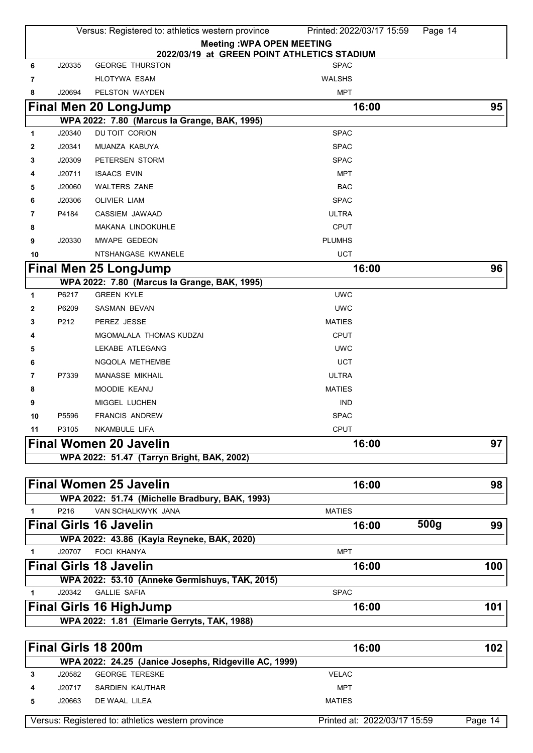|        |        | Versus: Registered to: athletics western province                              | Printed: 2022/03/17 15:59    | Page 14 |         |
|--------|--------|--------------------------------------------------------------------------------|------------------------------|---------|---------|
|        |        | <b>Meeting: WPA OPEN MEETING</b>                                               |                              |         |         |
|        | J20335 | 2022/03/19 at GREEN POINT ATHLETICS STADIUM<br><b>GEORGE THURSTON</b>          | <b>SPAC</b>                  |         |         |
| 6      |        |                                                                                |                              |         |         |
| 7      |        | <b>HLOTYWA ESAM</b>                                                            | <b>WALSHS</b><br><b>MPT</b>  |         |         |
| 8      | J20694 | PELSTON WAYDEN                                                                 |                              |         |         |
|        |        | <b>Final Men 20 LongJump</b>                                                   | 16:00                        |         | 95      |
| 1      | J20340 | WPA 2022: 7.80 (Marcus la Grange, BAK, 1995)<br>DU TOIT CORION                 | <b>SPAC</b>                  |         |         |
|        | J20341 | MUANZA KABUYA                                                                  | <b>SPAC</b>                  |         |         |
| 2<br>3 | J20309 | PETERSEN STORM                                                                 | <b>SPAC</b>                  |         |         |
| 4      | J20711 | <b>ISAACS EVIN</b>                                                             | <b>MPT</b>                   |         |         |
| 5      | J20060 | <b>WALTERS ZANE</b>                                                            | <b>BAC</b>                   |         |         |
| 6      | J20306 | <b>OLIVIER LIAM</b>                                                            | <b>SPAC</b>                  |         |         |
| 7      | P4184  | <b>CASSIEM JAWAAD</b>                                                          | <b>ULTRA</b>                 |         |         |
| 8      |        | <b>MAKANA LINDOKUHLE</b>                                                       | <b>CPUT</b>                  |         |         |
| 9      | J20330 | MWAPE GEDEON                                                                   | <b>PLUMHS</b>                |         |         |
|        |        | NTSHANGASE KWANELE                                                             | <b>UCT</b>                   |         |         |
| 10     |        |                                                                                |                              |         |         |
|        |        | <b>Final Men 25 LongJump</b>                                                   | 16:00                        |         | 96      |
| 1      | P6217  | WPA 2022: 7.80 (Marcus la Grange, BAK, 1995)<br><b>GREEN KYLE</b>              | <b>UWC</b>                   |         |         |
| 2      | P6209  | <b>SASMAN BEVAN</b>                                                            | <b>UWC</b>                   |         |         |
| 3      | P212   | PEREZ JESSE                                                                    | <b>MATIES</b>                |         |         |
|        |        | MGOMALALA THOMAS KUDZAI                                                        | <b>CPUT</b>                  |         |         |
| 4      |        | LEKABE ATLEGANG                                                                | <b>UWC</b>                   |         |         |
| 5      |        | NGQOLA METHEMBE                                                                | <b>UCT</b>                   |         |         |
| 6<br>7 | P7339  | <b>MANASSE MIKHAIL</b>                                                         | <b>ULTRA</b>                 |         |         |
| 8      |        | MOODIE KEANU                                                                   | <b>MATIES</b>                |         |         |
| 9      |        | MIGGEL LUCHEN                                                                  | <b>IND</b>                   |         |         |
| 10     | P5596  | <b>FRANCIS ANDREW</b>                                                          | <b>SPAC</b>                  |         |         |
| 11     | P3105  | <b>NKAMBULE LIFA</b>                                                           | <b>CPUT</b>                  |         |         |
|        |        | <b>Final Women 20 Javelin</b>                                                  |                              |         | 97      |
|        |        |                                                                                | 16:00                        |         |         |
|        |        | WPA 2022: 51.47 (Tarryn Bright, BAK, 2002)                                     |                              |         |         |
|        |        | <b>Final Women 25 Javelin</b>                                                  | 16:00                        |         | 98      |
|        |        | WPA 2022: 51.74 (Michelle Bradbury, BAK, 1993)                                 |                              |         |         |
| 1      | P216   | VAN SCHALKWYK JANA                                                             | <b>MATIES</b>                |         |         |
|        |        | <b>Final Girls 16 Javelin</b>                                                  | 16:00                        | 500g    | 99      |
|        |        | WPA 2022: 43.86 (Kayla Reyneke, BAK, 2020)                                     |                              |         |         |
| 1      | J20707 | FOCI KHANYA                                                                    | <b>MPT</b>                   |         |         |
|        |        | <b>Final Girls 18 Javelin</b>                                                  | 16:00                        |         | 100     |
|        |        | WPA 2022: 53.10 (Anneke Germishuys, TAK, 2015)                                 |                              |         |         |
| 1      | J20342 | <b>GALLIE SAFIA</b>                                                            | <b>SPAC</b>                  |         |         |
|        |        |                                                                                | 16:00                        |         | 101     |
|        |        | <b>Final Girls 16 HighJump</b><br>WPA 2022: 1.81 (Elmarie Gerryts, TAK, 1988)  |                              |         |         |
|        |        |                                                                                |                              |         |         |
|        |        | Final Girls 18 200m                                                            | 16:00                        |         | 102     |
|        |        |                                                                                |                              |         |         |
| 3      | J20582 | WPA 2022: 24.25 (Janice Josephs, Ridgeville AC, 1999)<br><b>GEORGE TERESKE</b> | <b>VELAC</b>                 |         |         |
| 4      | J20717 | <b>SARDIEN KAUTHAR</b>                                                         | <b>MPT</b>                   |         |         |
| 5      | J20663 | DE WAAL LILEA                                                                  | <b>MATIES</b>                |         |         |
|        |        |                                                                                |                              |         |         |
|        |        | Versus: Registered to: athletics western province                              | Printed at: 2022/03/17 15:59 |         | Page 14 |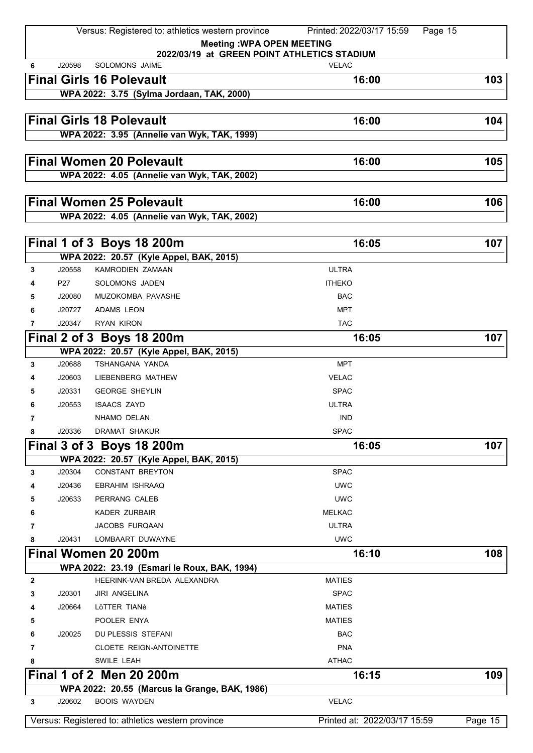|              |        | Versus: Registered to: athletics western province                    | Printed: 2022/03/17 15:59<br>Page 15 |         |
|--------------|--------|----------------------------------------------------------------------|--------------------------------------|---------|
|              |        | <b>Meeting: WPA OPEN MEETING</b>                                     |                                      |         |
|              |        | 2022/03/19 at GREEN POINT ATHLETICS STADIUM<br><b>SOLOMONS JAIME</b> |                                      |         |
| 6            | J20598 |                                                                      | <b>VELAC</b>                         |         |
|              |        | <b>Final Girls 16 Polevault</b>                                      | 16:00                                | 103     |
|              |        | WPA 2022: 3.75 (Sylma Jordaan, TAK, 2000)                            |                                      |         |
|              |        | <b>Final Girls 18 Polevault</b>                                      | 16:00                                | 104     |
|              |        | WPA 2022: 3.95 (Annelie van Wyk, TAK, 1999)                          |                                      |         |
|              |        | <b>Final Women 20 Polevault</b>                                      | 16:00                                | 105     |
|              |        | WPA 2022: 4.05 (Annelie van Wyk, TAK, 2002)                          |                                      |         |
|              |        | <b>Final Women 25 Polevault</b>                                      | 16:00                                | 106     |
|              |        |                                                                      |                                      |         |
|              |        | WPA 2022: 4.05 (Annelie van Wyk, TAK, 2002)                          |                                      |         |
|              |        | Final 1 of 3 Boys 18 200m                                            | 16:05                                | 107     |
|              |        | WPA 2022: 20.57 (Kyle Appel, BAK, 2015)                              |                                      |         |
| 3            | J20558 | <b>KAMRODIEN ZAMAAN</b>                                              | <b>ULTRA</b>                         |         |
| 4            | P27    | SOLOMONS JADEN                                                       | <b>ITHEKO</b>                        |         |
| 5            | J20080 | MUZOKOMBA PAVASHE                                                    | <b>BAC</b>                           |         |
| 6            | J20727 | <b>ADAMS LEON</b>                                                    | <b>MPT</b>                           |         |
| 7            | J20347 | <b>RYAN KIRON</b>                                                    | <b>TAC</b>                           |         |
|              |        | Final 2 of 3 Boys 18 200m                                            | 16:05                                | 107     |
|              |        | WPA 2022: 20.57 (Kyle Appel, BAK, 2015)                              |                                      |         |
| 3            | J20688 | TSHANGANA YANDA                                                      | <b>MPT</b>                           |         |
|              | J20603 | LIEBENBERG MATHEW                                                    | <b>VELAC</b>                         |         |
| 5            | J20331 | <b>GEORGE SHEYLIN</b>                                                | <b>SPAC</b>                          |         |
| 6            | J20553 | <b>ISAACS ZAYD</b>                                                   | <b>ULTRA</b>                         |         |
| 7            |        | NHAMO DELAN                                                          | <b>IND</b>                           |         |
| 8            | J20336 | <b>DRAMAT SHAKUR</b>                                                 | <b>SPAC</b>                          |         |
|              |        | Final 3 of 3 Boys 18 200m                                            | 16:05                                | 107     |
|              |        | WPA 2022: 20.57 (Kyle Appel, BAK, 2015)                              |                                      |         |
| 3            | J20304 | <b>CONSTANT BREYTON</b>                                              | <b>SPAC</b>                          |         |
| 4            | J20436 | <b>EBRAHIM ISHRAAQ</b>                                               | <b>UWC</b>                           |         |
| 5            | J20633 | PERRANG CALEB                                                        | <b>UWC</b>                           |         |
| 6            |        | KADER ZURBAIR                                                        | <b>MELKAC</b>                        |         |
| 7            |        | JACOBS FURQAAN                                                       | <b>ULTRA</b>                         |         |
| 8            | J20431 | LOMBAART DUWAYNE                                                     | <b>UWC</b>                           |         |
|              |        | <b>Final Women 20 200m</b>                                           | 16:10                                | 108     |
|              |        | WPA 2022: 23.19 (Esmari le Roux, BAK, 1994)                          |                                      |         |
| $\mathbf{2}$ |        | HEERINK-VAN BREDA ALEXANDRA                                          | <b>MATIES</b>                        |         |
| 3            | J20301 | <b>JIRI ANGELINA</b>                                                 | <b>SPAC</b>                          |         |
| 4            | J20664 | LöTTER TIANè                                                         | <b>MATIES</b>                        |         |
| 5            |        | POOLER ENYA                                                          | <b>MATIES</b>                        |         |
| 6            | J20025 | DU PLESSIS STEFANI                                                   | <b>BAC</b>                           |         |
| 7            |        | CLOETE REIGN-ANTOINETTE                                              | <b>PNA</b>                           |         |
| 8            |        | SWILE LEAH                                                           | <b>ATHAC</b>                         |         |
|              |        | Final 1 of 2 Men 20 200m                                             | 16:15                                | 109     |
|              |        | WPA 2022: 20.55 (Marcus la Grange, BAK, 1986)                        |                                      |         |
| 3            | J20602 | <b>BOOIS WAYDEN</b>                                                  | <b>VELAC</b>                         |         |
|              |        | Versus: Registered to: athletics western province                    | Printed at: 2022/03/17 15:59         | Page 15 |
|              |        |                                                                      |                                      |         |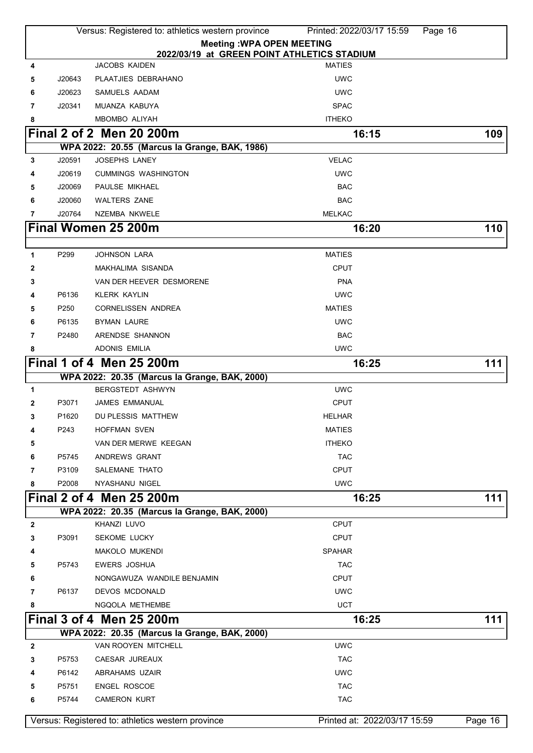|              |                  | Versus: Registered to: athletics western province                   | Printed: 2022/03/17 15:59<br>Page 16 |         |
|--------------|------------------|---------------------------------------------------------------------|--------------------------------------|---------|
|              |                  | <b>Meeting: WPA OPEN MEETING</b>                                    |                                      |         |
| 4            |                  | 2022/03/19 at GREEN POINT ATHLETICS STADIUM<br><b>JACOBS KAIDEN</b> | <b>MATIES</b>                        |         |
| 5            | J20643           | PLAATJIES DEBRAHANO                                                 | <b>UWC</b>                           |         |
| 6            | J20623           | SAMUELS AADAM                                                       | <b>UWC</b>                           |         |
| 7            | J20341           | MUANZA KABUYA                                                       | <b>SPAC</b>                          |         |
| 8            |                  | MBOMBO ALIYAH                                                       | <b>ITHEKO</b>                        |         |
|              |                  | Final 2 of 2 Men 20 200m                                            | 16:15                                | 109     |
|              |                  | WPA 2022: 20.55 (Marcus la Grange, BAK, 1986)                       |                                      |         |
| 3            | J20591           | <b>JOSEPHS LANEY</b>                                                | <b>VELAC</b>                         |         |
| 4            | J20619           | <b>CUMMINGS WASHINGTON</b>                                          | <b>UWC</b>                           |         |
| 5            | J20069           | PAULSE MIKHAEL                                                      | <b>BAC</b>                           |         |
| 6            | J20060           | <b>WALTERS ZANE</b>                                                 | <b>BAC</b>                           |         |
| 7            | J20764           | NZEMBA NKWELE                                                       | <b>MELKAC</b>                        |         |
|              |                  | Final Women 25 200m                                                 | 16:20                                | 110     |
|              |                  |                                                                     |                                      |         |
| 1            | P299             | <b>JOHNSON LARA</b>                                                 | <b>MATIES</b>                        |         |
| 2            |                  | MAKHALIMA SISANDA                                                   | <b>CPUT</b>                          |         |
| 3            |                  | VAN DER HEEVER DESMORENE                                            | <b>PNA</b>                           |         |
| 4            | P6136            | <b>KLERK KAYLIN</b>                                                 | <b>UWC</b>                           |         |
| 5            | P <sub>250</sub> | <b>CORNELISSEN ANDREA</b>                                           | <b>MATIES</b>                        |         |
| 6            | P6135            | <b>BYMAN LAURE</b>                                                  | <b>UWC</b>                           |         |
| 7            | P2480            | ARENDSE SHANNON                                                     | <b>BAC</b>                           |         |
| 8            |                  | <b>ADONIS EMILIA</b>                                                | <b>UWC</b>                           |         |
|              |                  | Final 1 of 4 Men 25 200m                                            | 16:25                                | 111     |
|              |                  | WPA 2022: 20.35 (Marcus la Grange, BAK, 2000)                       |                                      |         |
| 1            |                  | <b>BERGSTEDT ASHWYN</b>                                             | <b>UWC</b>                           |         |
| 2            | P3071            | <b>JAMES EMMANUAL</b>                                               | <b>CPUT</b>                          |         |
| 3            | P1620            | DU PLESSIS MATTHEW                                                  | <b>HELHAR</b>                        |         |
| 4            | P243             | <b>HOFFMAN SVEN</b>                                                 | <b>MATIES</b>                        |         |
| 5            |                  | VAN DER MERWE KEEGAN                                                | <b>ITHEKO</b>                        |         |
| 6            | P5745            | ANDREWS GRANT                                                       | <b>TAC</b>                           |         |
| 7            | P3109            | SALEMANE THATO                                                      | CPUT                                 |         |
| 8            | P2008            | NYASHANU NIGEL                                                      | <b>UWC</b>                           |         |
|              |                  | Final 2 of 4 Men 25 200m                                            | 16:25                                | 111     |
|              |                  | WPA 2022: 20.35 (Marcus la Grange, BAK, 2000)                       |                                      |         |
| $\mathbf{2}$ |                  | KHANZI LUVO                                                         | <b>CPUT</b>                          |         |
| 3            | P3091            | <b>SEKOME LUCKY</b>                                                 | <b>CPUT</b>                          |         |
| 4            |                  | MAKOLO MUKENDI                                                      | <b>SPAHAR</b>                        |         |
| 5            | P5743            | <b>EWERS JOSHUA</b>                                                 | <b>TAC</b>                           |         |
| 6            |                  | NONGAWUZA WANDILE BENJAMIN                                          | <b>CPUT</b>                          |         |
| 7            | P6137            | <b>DEVOS MCDONALD</b>                                               | <b>UWC</b>                           |         |
| 8            |                  | NGQOLA METHEMBE                                                     | <b>UCT</b>                           |         |
|              |                  | Final 3 of 4 Men 25 200m                                            | 16:25                                | 111     |
|              |                  | WPA 2022: 20.35 (Marcus la Grange, BAK, 2000)                       |                                      |         |
| 2            |                  | VAN ROOYEN MITCHELL                                                 | <b>UWC</b>                           |         |
| 3            | P5753            | CAESAR JUREAUX                                                      | <b>TAC</b>                           |         |
| 4            | P6142            | ABRAHAMS UZAIR                                                      | <b>UWC</b>                           |         |
| 5            | P5751            | <b>ENGEL ROSCOE</b>                                                 | <b>TAC</b>                           |         |
| 6            | P5744            | <b>CAMERON KURT</b>                                                 | <b>TAC</b>                           |         |
|              |                  |                                                                     |                                      |         |
|              |                  | Versus: Registered to: athletics western province                   | Printed at: 2022/03/17 15:59         | Page 16 |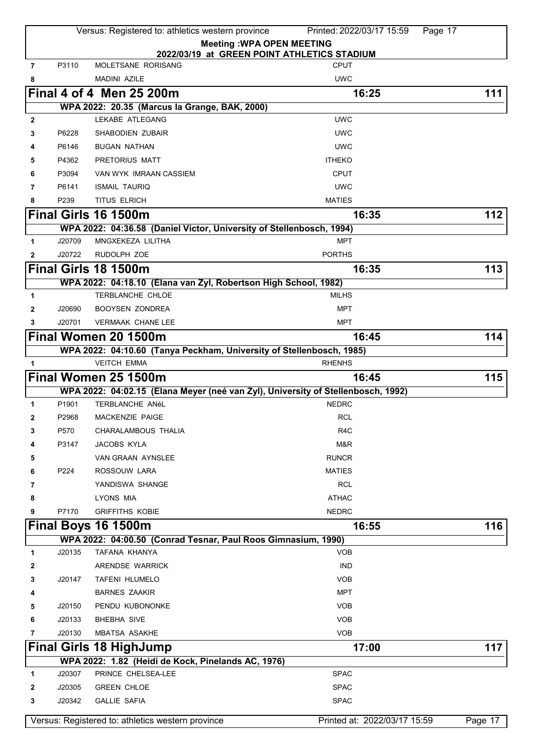|                |                   | Versus: Registered to: athletics western province                                | Printed: 2022/03/17 15:59<br>Page 17        |         |
|----------------|-------------------|----------------------------------------------------------------------------------|---------------------------------------------|---------|
|                |                   |                                                                                  | <b>Meeting: WPA OPEN MEETING</b>            |         |
|                |                   |                                                                                  | 2022/03/19 at GREEN POINT ATHLETICS STADIUM |         |
| $\overline{7}$ | P3110             | MOLETSANE RORISANG                                                               | <b>CPUT</b>                                 |         |
| 8              |                   | <b>MADINI AZILE</b>                                                              | <b>UWC</b>                                  |         |
|                |                   | Final 4 of 4 Men 25 200m                                                         | 16:25                                       | 111     |
|                |                   | WPA 2022: 20.35 (Marcus la Grange, BAK, 2000)                                    |                                             |         |
| 2              |                   | LEKABE ATLEGANG                                                                  | <b>UWC</b>                                  |         |
| 3              | P6228             | <b>SHABODIEN ZUBAIR</b>                                                          | <b>UWC</b>                                  |         |
| 4              | P6146             | <b>BUGAN NATHAN</b>                                                              | <b>UWC</b>                                  |         |
| 5              | P4362             | PRETORIUS MATT                                                                   | <b>ITHEKO</b>                               |         |
| 6              | P3094             | VAN WYK IMRAAN CASSIEM                                                           | <b>CPUT</b>                                 |         |
| 7              | P6141             | <b>ISMAIL TAURIQ</b>                                                             | <b>UWC</b>                                  |         |
| 8              | P239              | <b>TITUS ELRICH</b>                                                              | <b>MATIES</b>                               |         |
|                |                   | Final Girls 16 1500m                                                             | 16:35                                       | 112     |
|                |                   | WPA 2022: 04:36.58 (Daniel Victor, University of Stellenbosch, 1994)             |                                             |         |
| 1              | J20709            | MNGXEKEZA LILITHA                                                                | <b>MPT</b>                                  |         |
| 2              | J20722            | RUDOLPH ZOE                                                                      | <b>PORTHS</b>                               |         |
|                |                   | Final Girls 18 1500m                                                             | 16:35                                       | 113     |
|                |                   | WPA 2022: 04:18.10 (Elana van Zyl, Robertson High School, 1982)                  |                                             |         |
| 1              |                   | TERBLANCHE CHLOE                                                                 | <b>MILHS</b>                                |         |
| 2              | J20690            | <b>BOOYSEN ZONDREA</b>                                                           | <b>MPT</b>                                  |         |
| 3              | J20701            | <b>VERMAAK CHANE LEE</b>                                                         | <b>MPT</b>                                  |         |
|                |                   | Final Women 20 1500m                                                             | 16:45                                       | 114     |
|                |                   | WPA 2022: 04:10.60 (Tanya Peckham, University of Stellenbosch, 1985)             |                                             |         |
| 1              |                   | <b>VEITCH EMMA</b>                                                               | <b>RHENHS</b>                               |         |
|                |                   | Final Women 25 1500m                                                             | 16:45                                       | 115     |
|                |                   | WPA 2022: 04:02.15 (Elana Meyer (neé van Zyl), University of Stellenbosch, 1992) |                                             |         |
| 1              | P <sub>1901</sub> | TERBLANCHE ANéL                                                                  | <b>NEDRC</b>                                |         |
| 2              | P2968             | <b>MACKENZIE PAIGE</b>                                                           | <b>RCL</b>                                  |         |
| 3              | P570              | CHARALAMBOUS THALIA                                                              | R <sub>4</sub> C                            |         |
|                | P3147             | JACOBS KYLA                                                                      | M&R                                         |         |
| 5              |                   | VAN GRAAN AYNSLEE                                                                | <b>RUNCR</b>                                |         |
| 6              | P224              | ROSSOUW LARA                                                                     | <b>MATIES</b>                               |         |
| 7              |                   | YANDISWA SHANGE                                                                  | <b>RCL</b>                                  |         |
| 8              |                   | LYONS MIA                                                                        | <b>ATHAC</b>                                |         |
| 9              | P7170             | <b>GRIFFITHS KOBIE</b>                                                           | <b>NEDRC</b>                                |         |
|                |                   | Final Boys 16 1500m                                                              | 16:55                                       | 116     |
|                |                   | WPA 2022: 04:00.50 (Conrad Tesnar, Paul Roos Gimnasium, 1990)                    |                                             |         |
| 1              | J20135            | TAFANA KHANYA                                                                    | <b>VOB</b>                                  |         |
| 2              |                   | ARENDSE WARRICK                                                                  | <b>IND</b>                                  |         |
| 3              | J20147            | <b>TAFENI HLUMELO</b>                                                            | <b>VOB</b>                                  |         |
| 4              |                   | <b>BARNES ZAAKIR</b>                                                             | <b>MPT</b>                                  |         |
| 5              | J20150            | PENDU KUBONONKE                                                                  | <b>VOB</b>                                  |         |
| 6              | J20133            | <b>BHEBHA SIVE</b>                                                               | <b>VOB</b>                                  |         |
| 7              | J20130            | <b>MBATSA ASAKHE</b>                                                             | <b>VOB</b>                                  |         |
|                |                   | <b>Final Girls 18 HighJump</b>                                                   | 17:00                                       | 117     |
|                |                   | WPA 2022: 1.82 (Heidi de Kock, Pinelands AC, 1976)                               |                                             |         |
| 1              | J20307            | PRINCE CHELSEA-LEE                                                               | <b>SPAC</b>                                 |         |
| 2              | J20305            | <b>GREEN CHLOE</b>                                                               | <b>SPAC</b>                                 |         |
| 3              | J20342            | <b>GALLIE SAFIA</b>                                                              | <b>SPAC</b>                                 |         |
|                |                   |                                                                                  |                                             |         |
|                |                   | Versus: Registered to: athletics western province                                | Printed at: 2022/03/17 15:59                | Page 17 |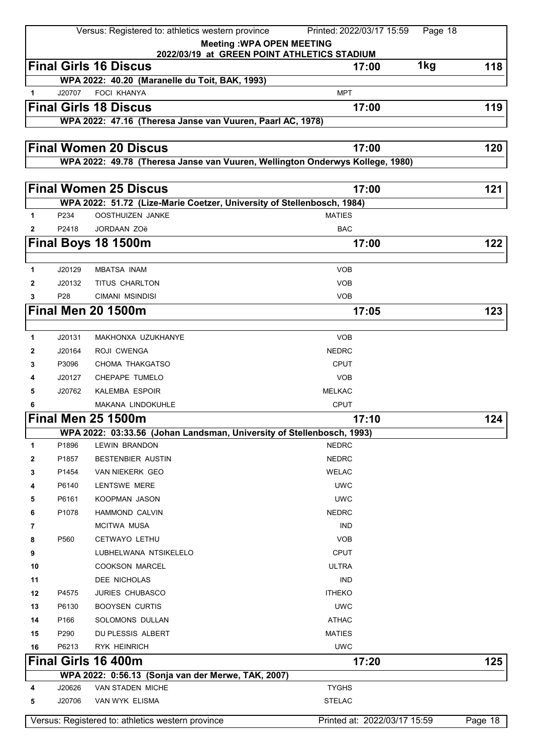|              |                 | Versus: Registered to: athletics western province                             | Printed: 2022/03/17 15:59    | Page 18 |         |
|--------------|-----------------|-------------------------------------------------------------------------------|------------------------------|---------|---------|
|              |                 | <b>Meeting: WPA OPEN MEETING</b>                                              |                              |         |         |
|              |                 | 2022/03/19 at GREEN POINT ATHLETICS STADIUM<br><b>Final Girls 16 Discus</b>   | 17:00                        | 1kg     | 118     |
|              |                 | WPA 2022: 40.20 (Maranelle du Toit, BAK, 1993)                                |                              |         |         |
| $\mathbf{1}$ | J20707          | FOCI KHANYA                                                                   | <b>MPT</b>                   |         |         |
|              |                 | <b>Final Girls 18 Discus</b>                                                  | 17:00                        |         | 119     |
|              |                 | WPA 2022: 47.16 (Theresa Janse van Vuuren, Paarl AC, 1978)                    |                              |         |         |
|              |                 |                                                                               |                              |         |         |
|              |                 | <b>Final Women 20 Discus</b>                                                  | 17:00                        |         | 120     |
|              |                 | WPA 2022: 49.78 (Theresa Janse van Vuuren, Wellington Onderwys Kollege, 1980) |                              |         |         |
|              |                 |                                                                               |                              |         |         |
|              |                 | <b>Final Women 25 Discus</b>                                                  | 17:00                        |         | 121     |
|              |                 | WPA 2022: 51.72 (Lize-Marie Coetzer, University of Stellenbosch, 1984)        |                              |         |         |
| 1            | P234            | <b>OOSTHUIZEN JANKE</b>                                                       | <b>MATIES</b>                |         |         |
| $\mathbf{2}$ | P2418           | <b>JORDAAN ZOë</b>                                                            | <b>BAC</b>                   |         |         |
|              |                 | Final Boys 18 1500m                                                           | 17:00                        |         | 122     |
|              |                 |                                                                               |                              |         |         |
| 1            | J20129          | <b>MBATSA INAM</b>                                                            | <b>VOB</b>                   |         |         |
| $\mathbf{2}$ | J20132          | TITUS CHARLTON                                                                | <b>VOB</b>                   |         |         |
| 3            | P <sub>28</sub> | <b>CIMANI MSINDISI</b>                                                        | <b>VOB</b>                   |         |         |
|              |                 | <b>Final Men 20 1500m</b>                                                     | 17:05                        |         | 123     |
| 1            | J20131          | MAKHONXA UZUKHANYE                                                            | <b>VOB</b>                   |         |         |
| 2            | J20164          | <b>ROJI CWENGA</b>                                                            | <b>NEDRC</b>                 |         |         |
| 3            | P3096           | CHOMA THAKGATSO                                                               | <b>CPUT</b>                  |         |         |
|              | J20127          | CHEPAPE TUMELO                                                                | <b>VOB</b>                   |         |         |
| 5            | J20762          | <b>KALEMBA ESPOIR</b>                                                         | <b>MELKAC</b>                |         |         |
| 6            |                 | MAKANA LINDOKUHLE                                                             | <b>CPUT</b>                  |         |         |
|              |                 | <b>Final Men 25 1500m</b>                                                     | 17:10                        |         | 124     |
|              |                 | WPA 2022: 03:33.56 (Johan Landsman, University of Stellenbosch, 1993)         |                              |         |         |
| 1            | P1896           | <b>LEWIN BRANDON</b>                                                          | <b>NEDRC</b>                 |         |         |
| 2            | P1857           | BESTENBIER AUSTIN                                                             | <b>NEDRC</b>                 |         |         |
| 3            | P1454           | VAN NIEKERK GEO                                                               | <b>WELAC</b>                 |         |         |
| 4            | P6140           | <b>LENTSWE MERE</b>                                                           | <b>UWC</b>                   |         |         |
| 5            | P6161           | KOOPMAN JASON                                                                 | <b>UWC</b>                   |         |         |
| 6            | P1078           | HAMMOND CALVIN                                                                | <b>NEDRC</b>                 |         |         |
| 7            |                 | <b>MCITWA MUSA</b>                                                            | <b>IND</b>                   |         |         |
| 8            | P560            | CETWAYO LETHU                                                                 | <b>VOB</b>                   |         |         |
| 9            |                 | LUBHELWANA NTSIKELELO                                                         | <b>CPUT</b>                  |         |         |
| 10           |                 | <b>COOKSON MARCEL</b>                                                         | <b>ULTRA</b>                 |         |         |
| 11           |                 | DEE NICHOLAS                                                                  | <b>IND</b>                   |         |         |
| 12           | P4575           | <b>JURIES CHUBASCO</b>                                                        | <b>ITHEKO</b>                |         |         |
| 13           | P6130           | <b>BOOYSEN CURTIS</b>                                                         | <b>UWC</b>                   |         |         |
| 14           | P166            | SOLOMONS DULLAN                                                               | <b>ATHAC</b>                 |         |         |
| 15<br>16     | P290<br>P6213   | DU PLESSIS ALBERT<br>RYK HEINRICH                                             | <b>MATIES</b><br><b>UWC</b>  |         |         |
|              |                 | <b>Final Girls 16 400m</b>                                                    | 17:20                        |         | 125     |
|              |                 | WPA 2022: 0:56.13 (Sonja van der Merwe, TAK, 2007)                            |                              |         |         |
| 4            | J20626          | VAN STADEN MICHE                                                              | <b>TYGHS</b>                 |         |         |
| 5            | J20706          | VAN WYK ELISMA                                                                | <b>STELAC</b>                |         |         |
|              |                 |                                                                               |                              |         |         |
|              |                 | Versus: Registered to: athletics western province                             | Printed at: 2022/03/17 15:59 |         | Page 18 |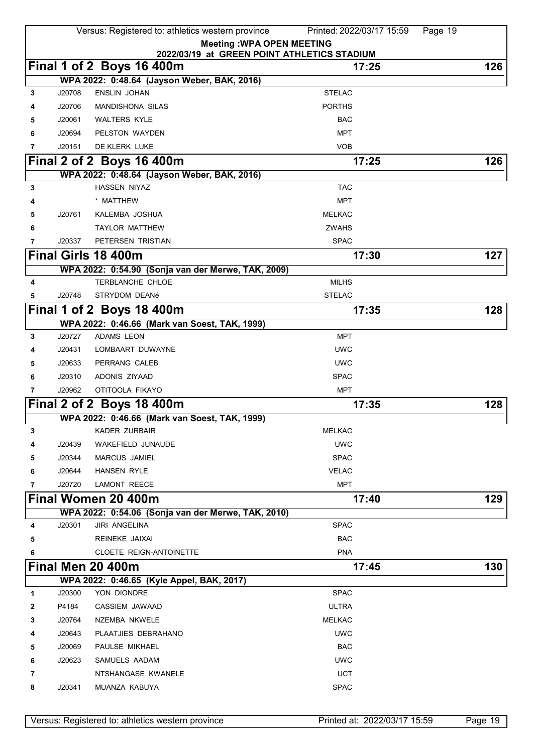|                                  |        | Versus: Registered to: athletics western province  | Printed: 2022/03/17 15:59 | Page 19 |     |  |
|----------------------------------|--------|----------------------------------------------------|---------------------------|---------|-----|--|
| <b>Meeting: WPA OPEN MEETING</b> |        |                                                    |                           |         |     |  |
|                                  |        | 2022/03/19 at GREEN POINT ATHLETICS STADIUM        |                           |         |     |  |
|                                  |        | Final 1 of 2 Boys 16 400m                          | 17:25                     |         | 126 |  |
|                                  |        | WPA 2022: 0:48.64 (Jayson Weber, BAK, 2016)        |                           |         |     |  |
| 3                                | J20708 | <b>ENSLIN JOHAN</b>                                | <b>STELAC</b>             |         |     |  |
| 4                                | J20706 | <b>MANDISHONA SILAS</b>                            | <b>PORTHS</b>             |         |     |  |
| 5                                | J20061 | <b>WALTERS KYLE</b>                                | <b>BAC</b>                |         |     |  |
| 6                                | J20694 | PELSTON WAYDEN                                     | <b>MPT</b>                |         |     |  |
| $\overline{7}$                   | J20151 | DE KLERK LUKE                                      | <b>VOB</b>                |         |     |  |
|                                  |        | Final 2 of 2 Boys 16 400m                          | 17:25                     |         | 126 |  |
|                                  |        | WPA 2022: 0:48.64 (Jayson Weber, BAK, 2016)        |                           |         |     |  |
| 3                                |        | <b>HASSEN NIYAZ</b>                                | <b>TAC</b>                |         |     |  |
| 4                                |        | * MATTHEW                                          | <b>MPT</b>                |         |     |  |
| 5                                | J20761 | KALEMBA JOSHUA                                     | <b>MELKAC</b>             |         |     |  |
| 6                                |        | <b>TAYLOR MATTHEW</b>                              | <b>ZWAHS</b>              |         |     |  |
| 7                                | J20337 | PETERSEN TRISTIAN                                  | <b>SPAC</b>               |         |     |  |
|                                  |        | Final Girls 18 400m                                | 17:30                     |         | 127 |  |
|                                  |        | WPA 2022: 0:54.90 (Sonja van der Merwe, TAK, 2009) |                           |         |     |  |
| 4                                |        | <b>TERBLANCHE CHLOE</b>                            | <b>MILHS</b>              |         |     |  |
| 5                                | J20748 | STRYDOM DEANé                                      | <b>STELAC</b>             |         |     |  |
|                                  |        | Final 1 of 2 Boys 18 400m                          | 17:35                     |         | 128 |  |
|                                  |        | WPA 2022: 0:46.66 (Mark van Soest, TAK, 1999)      |                           |         |     |  |
| 3                                | J20727 | <b>ADAMS LEON</b>                                  | <b>MPT</b>                |         |     |  |
|                                  | J20431 | LOMBAART DUWAYNE                                   | <b>UWC</b>                |         |     |  |
| 5                                | J20633 | PERRANG CALEB                                      | <b>UWC</b>                |         |     |  |
| 6                                | J20310 | ADONIS ZIYAAD                                      | <b>SPAC</b>               |         |     |  |
| 7                                | J20962 | OTITOOLA FIKAYO                                    | <b>MPT</b>                |         |     |  |
|                                  |        | Final 2 of 2 Boys 18 400m                          | 17:35                     |         | 128 |  |
|                                  |        | WPA 2022: 0:46.66 (Mark van Soest, TAK, 1999)      |                           |         |     |  |
| 3                                |        | <b>KADER ZURBAIR</b>                               | <b>MELKAC</b>             |         |     |  |
| 4                                | J20439 | WAKEFIELD JUNAUDE                                  | <b>UWC</b>                |         |     |  |
| 5                                | J20344 | MARCUS JAMIEL                                      | <b>SPAC</b>               |         |     |  |
| 6                                | J20644 | <b>HANSEN RYLE</b>                                 | <b>VELAC</b>              |         |     |  |
| 7                                | J20720 | <b>LAMONT REECE</b>                                | <b>MPT</b>                |         |     |  |
|                                  |        | Final Women 20 400m                                | 17:40                     |         | 129 |  |
|                                  |        | WPA 2022: 0:54.06 (Sonja van der Merwe, TAK, 2010) |                           |         |     |  |
| 4                                | J20301 | <b>JIRI ANGELINA</b>                               | <b>SPAC</b>               |         |     |  |
| 5                                |        | REINEKE JAIXAI                                     | <b>BAC</b>                |         |     |  |
| 6                                |        | CLOETE REIGN-ANTOINETTE                            | <b>PNA</b>                |         |     |  |
|                                  |        | Final Men 20 400m                                  | 17:45                     |         | 130 |  |
|                                  |        | WPA 2022: 0:46.65 (Kyle Appel, BAK, 2017)          |                           |         |     |  |
| 1                                | J20300 | YON DIONDRE                                        | <b>SPAC</b>               |         |     |  |
| 2                                | P4184  | CASSIEM JAWAAD                                     | <b>ULTRA</b>              |         |     |  |
| 3                                | J20764 | NZEMBA NKWELE                                      | <b>MELKAC</b>             |         |     |  |
| 4                                | J20643 | PLAATJIES DEBRAHANO                                | <b>UWC</b>                |         |     |  |
| 5                                | J20069 | PAULSE MIKHAEL                                     | <b>BAC</b>                |         |     |  |
| 6                                | J20623 | SAMUELS AADAM                                      | <b>UWC</b>                |         |     |  |
| 7                                |        | NTSHANGASE KWANELE                                 | <b>UCT</b>                |         |     |  |
| 8                                | J20341 | MUANZA KABUYA                                      | <b>SPAC</b>               |         |     |  |
|                                  |        |                                                    |                           |         |     |  |